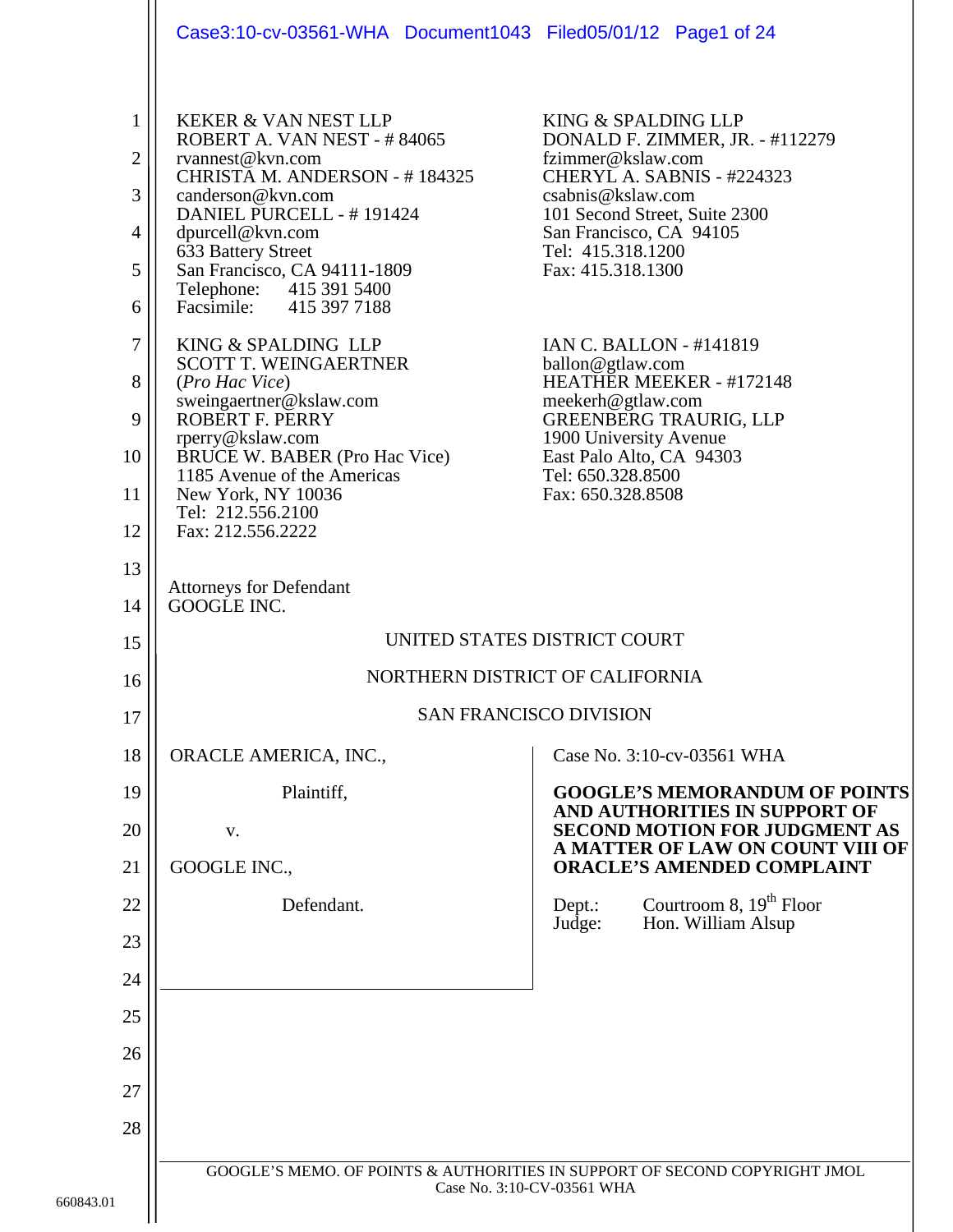|                                                                          | Case3:10-cv-03561-WHA Document1043 Filed05/01/12 Page1 of 24                                                                                                                                                                                                                                                                                                                                                                                                                                                                                                                           |                                                                                                                                                                                                                                                                                                                                                                                                                                                                       |  |
|--------------------------------------------------------------------------|----------------------------------------------------------------------------------------------------------------------------------------------------------------------------------------------------------------------------------------------------------------------------------------------------------------------------------------------------------------------------------------------------------------------------------------------------------------------------------------------------------------------------------------------------------------------------------------|-----------------------------------------------------------------------------------------------------------------------------------------------------------------------------------------------------------------------------------------------------------------------------------------------------------------------------------------------------------------------------------------------------------------------------------------------------------------------|--|
| 1<br>$\overline{2}$<br>3<br>4<br>5<br>6<br>7<br>8<br>9<br>10<br>11<br>12 | <b>KEKER &amp; VAN NEST LLP</b><br>ROBERT A. VAN NEST - #84065<br>rvannest@kvn.com<br>CHRISTA M. ANDERSON - #184325<br>canderson@kvn.com<br>DANIEL PURCELL - #191424<br>dpurcell@kvn.com<br>633 Battery Street<br>San Francisco, CA 94111-1809<br>Telephone: 415 391 5400<br>Facsimile: 415 397 7188<br>KING & SPALDING LLP<br><b>SCOTT T. WEINGAERTNER</b><br>(Pro Hac Vice)<br>sweingaertner@kslaw.com<br>ROBERT F. PERRY<br>rperry@kslaw.com<br><b>BRUCE W. BABER (Pro Hac Vice)</b><br>1185 Avenue of the Americas<br>New York, NY 10036<br>Tel: 212.556.2100<br>Fax: 212.556.2222 | KING & SPALDING LLP<br>DONALD F. ZIMMER, JR. - #112279<br>fzimmer@kslaw.com<br>CHERYL A. SABNIS - #224323<br>csabnis@kslaw.com<br>101 Second Street, Suite 2300<br>San Francisco, CA 94105<br>Tel: 415.318.1200<br>Fax: 415.318.1300<br><b>IAN C. BALLON - #141819</b><br>ballon@gtlaw.com<br>HEATHER MEEKER - #172148<br>meekerh@gtlaw.com<br>GREENBERG TRAURIG, LLP<br>1900 University Avenue<br>East Palo Alto, CA 94303<br>Tel: 650.328.8500<br>Fax: 650.328.8508 |  |
| 13<br>14                                                                 | <b>Attorneys for Defendant</b><br>GOOGLE INC.                                                                                                                                                                                                                                                                                                                                                                                                                                                                                                                                          |                                                                                                                                                                                                                                                                                                                                                                                                                                                                       |  |
| 15                                                                       | UNITED STATES DISTRICT COURT                                                                                                                                                                                                                                                                                                                                                                                                                                                                                                                                                           |                                                                                                                                                                                                                                                                                                                                                                                                                                                                       |  |
| 16                                                                       | NORTHERN DISTRICT OF CALIFORNIA                                                                                                                                                                                                                                                                                                                                                                                                                                                                                                                                                        |                                                                                                                                                                                                                                                                                                                                                                                                                                                                       |  |
| 17                                                                       | <b>SAN FRANCISCO DIVISION</b>                                                                                                                                                                                                                                                                                                                                                                                                                                                                                                                                                          |                                                                                                                                                                                                                                                                                                                                                                                                                                                                       |  |
| 18                                                                       | ORACLE AMERICA, INC.,                                                                                                                                                                                                                                                                                                                                                                                                                                                                                                                                                                  | Case No. 3:10-cv-03561 WHA                                                                                                                                                                                                                                                                                                                                                                                                                                            |  |
| 19                                                                       | Plaintiff,                                                                                                                                                                                                                                                                                                                                                                                                                                                                                                                                                                             | <b>GOOGLE'S MEMORANDUM OF POINTS</b><br>AND AUTHORITIES IN SUPPORT OF                                                                                                                                                                                                                                                                                                                                                                                                 |  |
| 20                                                                       | V.                                                                                                                                                                                                                                                                                                                                                                                                                                                                                                                                                                                     | <b>SECOND MOTION FOR JUDGMENT AS</b><br>A MATTER OF LAW ON COUNT VIII OF                                                                                                                                                                                                                                                                                                                                                                                              |  |
| 21                                                                       | GOOGLE INC.,                                                                                                                                                                                                                                                                                                                                                                                                                                                                                                                                                                           | <b>ORACLE'S AMENDED COMPLAINT</b>                                                                                                                                                                                                                                                                                                                                                                                                                                     |  |
| 22                                                                       | Defendant.                                                                                                                                                                                                                                                                                                                                                                                                                                                                                                                                                                             | Courtroom 8, $19th$ Floor<br>Dept.:<br>Hon. William Alsup<br>Judge:                                                                                                                                                                                                                                                                                                                                                                                                   |  |
| 23                                                                       |                                                                                                                                                                                                                                                                                                                                                                                                                                                                                                                                                                                        |                                                                                                                                                                                                                                                                                                                                                                                                                                                                       |  |
| 24                                                                       |                                                                                                                                                                                                                                                                                                                                                                                                                                                                                                                                                                                        |                                                                                                                                                                                                                                                                                                                                                                                                                                                                       |  |
| 25                                                                       |                                                                                                                                                                                                                                                                                                                                                                                                                                                                                                                                                                                        |                                                                                                                                                                                                                                                                                                                                                                                                                                                                       |  |
| 26                                                                       |                                                                                                                                                                                                                                                                                                                                                                                                                                                                                                                                                                                        |                                                                                                                                                                                                                                                                                                                                                                                                                                                                       |  |
| 27                                                                       |                                                                                                                                                                                                                                                                                                                                                                                                                                                                                                                                                                                        |                                                                                                                                                                                                                                                                                                                                                                                                                                                                       |  |
| 28                                                                       |                                                                                                                                                                                                                                                                                                                                                                                                                                                                                                                                                                                        |                                                                                                                                                                                                                                                                                                                                                                                                                                                                       |  |
| $\mathbf 1$                                                              | GOOGLE'S MEMO. OF POINTS & AUTHORITIES IN SUPPORT OF SECOND COPYRIGHT JMOL<br>Case No. 3:10-CV-03561 WHA                                                                                                                                                                                                                                                                                                                                                                                                                                                                               |                                                                                                                                                                                                                                                                                                                                                                                                                                                                       |  |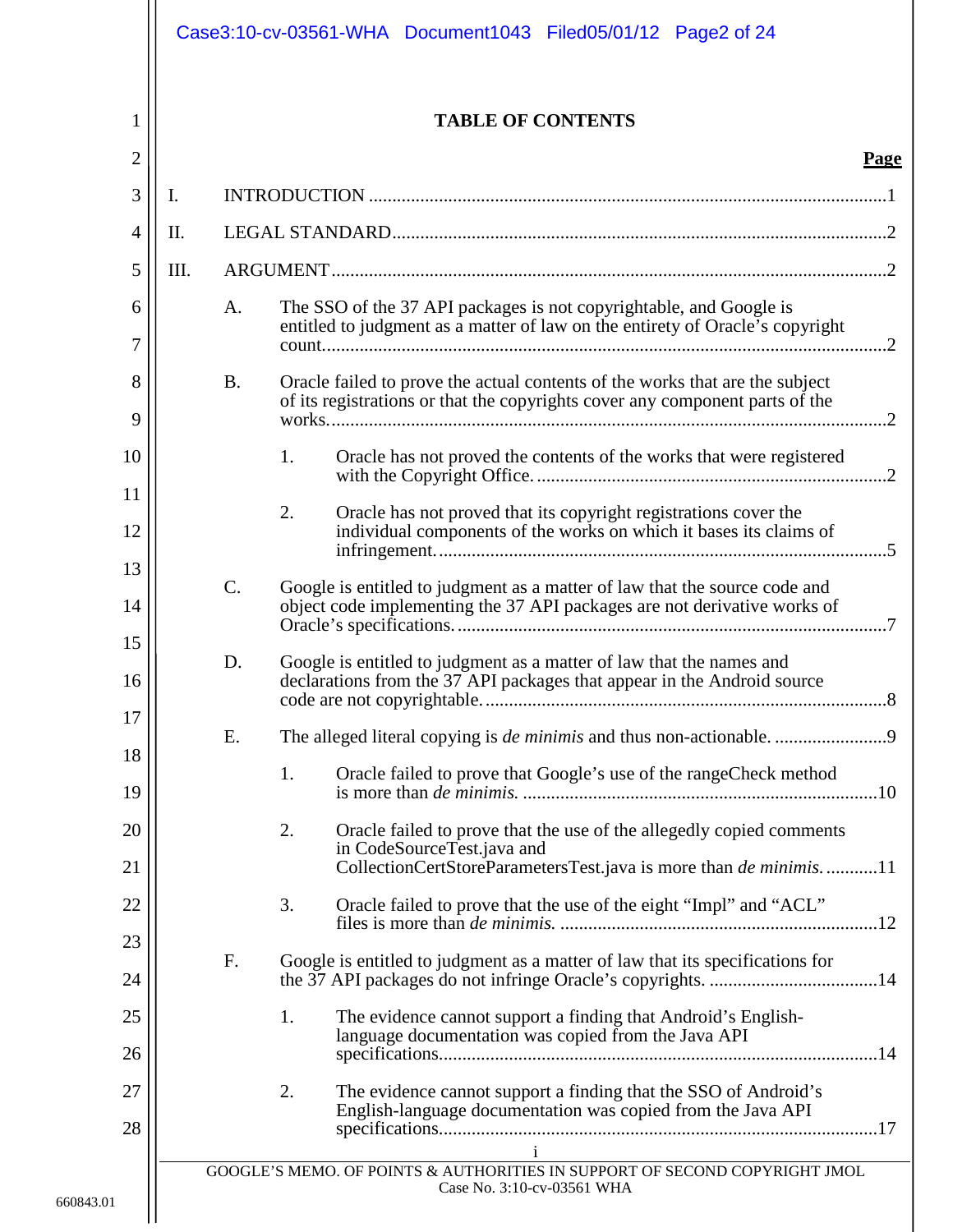|                | Case3:10-cv-03561-WHA Document1043 Filed05/01/12 Page2 of 24 |           |                                                                                                                                                        |             |
|----------------|--------------------------------------------------------------|-----------|--------------------------------------------------------------------------------------------------------------------------------------------------------|-------------|
| $\mathbf{1}$   |                                                              |           | <b>TABLE OF CONTENTS</b>                                                                                                                               |             |
| $\overline{2}$ |                                                              |           |                                                                                                                                                        | <b>Page</b> |
| 3              | Ι.                                                           |           |                                                                                                                                                        |             |
| 4              | II.                                                          |           |                                                                                                                                                        |             |
| 5              | III.                                                         |           |                                                                                                                                                        |             |
| 6<br>7         |                                                              | A.        | The SSO of the 37 API packages is not copyrightable, and Google is<br>entitled to judgment as a matter of law on the entirety of Oracle's copyright    |             |
| 8              |                                                              | <b>B.</b> | Oracle failed to prove the actual contents of the works that are the subject                                                                           |             |
| 9              |                                                              |           | of its registrations or that the copyrights cover any component parts of the                                                                           |             |
| 10             |                                                              |           | 1.<br>Oracle has not proved the contents of the works that were registered                                                                             |             |
| 11             |                                                              |           |                                                                                                                                                        |             |
| 12             |                                                              |           | 2.<br>Oracle has not proved that its copyright registrations cover the<br>individual components of the works on which it bases its claims of           |             |
| 13<br>14       |                                                              | $C$ .     | Google is entitled to judgment as a matter of law that the source code and<br>object code implementing the 37 API packages are not derivative works of |             |
| 15             |                                                              |           |                                                                                                                                                        |             |
| 16             |                                                              | D.        | Google is entitled to judgment as a matter of law that the names and<br>declarations from the 37 API packages that appear in the Android source        |             |
| 17             |                                                              | Ε.        |                                                                                                                                                        |             |
| 18<br>19       |                                                              |           | 1.<br>Oracle failed to prove that Google's use of the rangeCheck method                                                                                |             |
| 20             |                                                              |           | 2.<br>Oracle failed to prove that the use of the allegedly copied comments                                                                             |             |
| 21             |                                                              |           | in CodeSourceTest.java and<br>CollectionCertStoreParametersTest.java is more than <i>de minimis</i> 11                                                 |             |
| 22             |                                                              |           | Oracle failed to prove that the use of the eight "Impl" and "ACL"<br>3.                                                                                |             |
| 23<br>24       |                                                              | F.        | Google is entitled to judgment as a matter of law that its specifications for                                                                          |             |
| 25             |                                                              |           | 1.<br>The evidence cannot support a finding that Android's English-                                                                                    |             |
| 26             |                                                              |           | language documentation was copied from the Java API                                                                                                    |             |
| 27<br>28       |                                                              |           | 2.<br>The evidence cannot support a finding that the SSO of Android's<br>English-language documentation was copied from the Java API                   |             |
|                |                                                              |           | $\mathbf{i}$<br>GOOGLE'S MEMO. OF POINTS & AUTHORITIES IN SUPPORT OF SECOND COPYRIGHT JMOL<br>Case No. 3:10-cv-03561 WHA                               |             |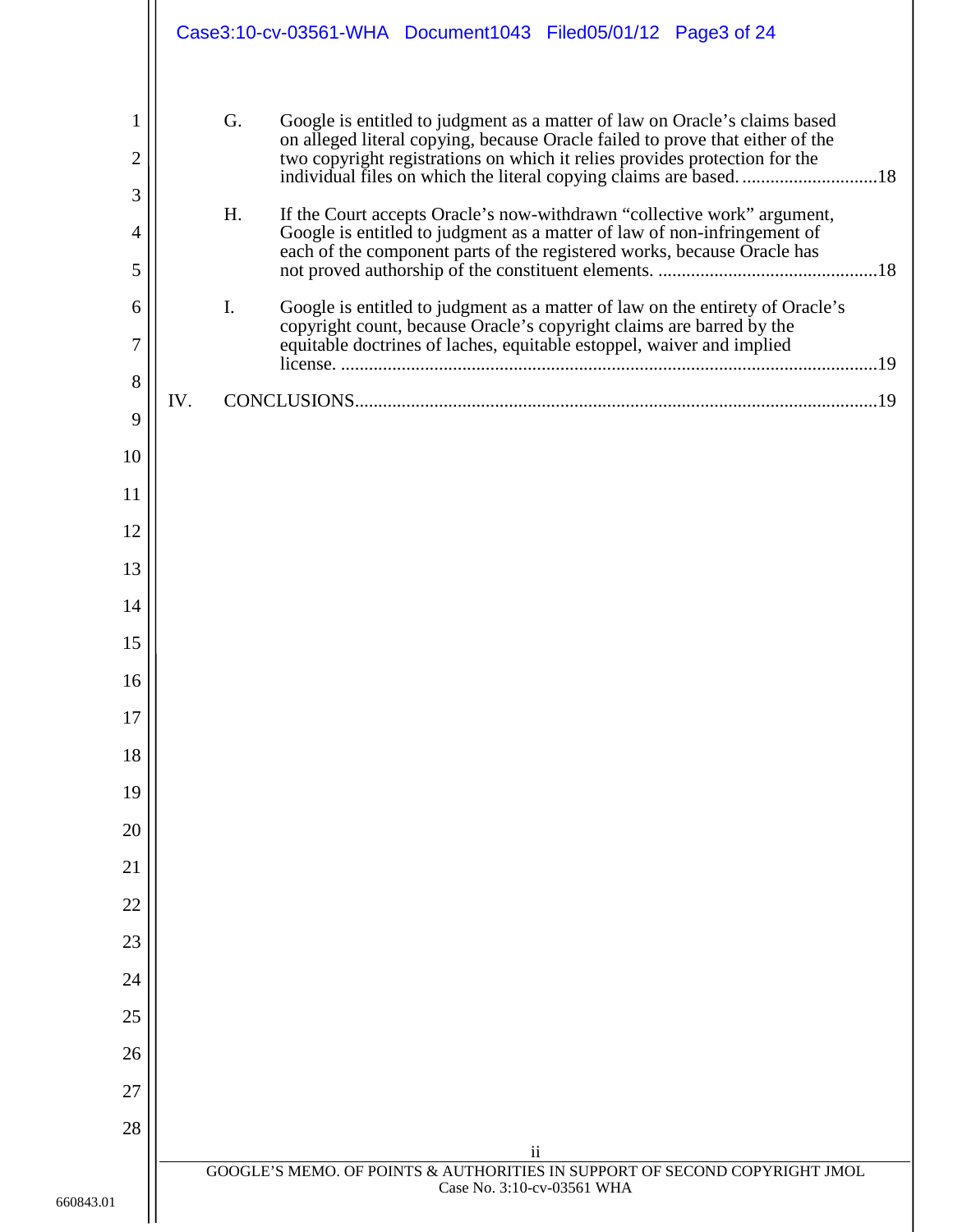|                                                 | Case3:10-cv-03561-WHA Document1043 Filed05/01/12 Page3 of 24                                                                                                                                                                                                                                                                                                                                                                                                                                                                                                                                                                                                                                                                           |
|-------------------------------------------------|----------------------------------------------------------------------------------------------------------------------------------------------------------------------------------------------------------------------------------------------------------------------------------------------------------------------------------------------------------------------------------------------------------------------------------------------------------------------------------------------------------------------------------------------------------------------------------------------------------------------------------------------------------------------------------------------------------------------------------------|
| 1<br>2<br>3<br>4<br>5<br>6<br>7<br>8<br>9<br>10 | G.<br>Google is entitled to judgment as a matter of law on Oracle's claims based<br>on alleged literal copying, because Oracle failed to prove that either of the<br>two copyright registrations on which it relies provides protection for the<br>H.<br>If the Court accepts Oracle's now-withdrawn "collective work" argument,<br>Google is entitled to judgment as a matter of law of non-infringement of<br>each of the component parts of the registered works, because Oracle has<br>I.<br>Google is entitled to judgment as a matter of law on the entirety of Oracle's<br>copyright count, because Oracle's copyright claims are barred by the<br>equitable doctrines of laches, equitable estoppel, waiver and implied<br>IV. |
| 11                                              |                                                                                                                                                                                                                                                                                                                                                                                                                                                                                                                                                                                                                                                                                                                                        |
| 12                                              |                                                                                                                                                                                                                                                                                                                                                                                                                                                                                                                                                                                                                                                                                                                                        |
| 13                                              |                                                                                                                                                                                                                                                                                                                                                                                                                                                                                                                                                                                                                                                                                                                                        |
| 14                                              |                                                                                                                                                                                                                                                                                                                                                                                                                                                                                                                                                                                                                                                                                                                                        |
| 15                                              |                                                                                                                                                                                                                                                                                                                                                                                                                                                                                                                                                                                                                                                                                                                                        |
| 16                                              |                                                                                                                                                                                                                                                                                                                                                                                                                                                                                                                                                                                                                                                                                                                                        |
| 17                                              |                                                                                                                                                                                                                                                                                                                                                                                                                                                                                                                                                                                                                                                                                                                                        |
| 18                                              |                                                                                                                                                                                                                                                                                                                                                                                                                                                                                                                                                                                                                                                                                                                                        |
| 19                                              |                                                                                                                                                                                                                                                                                                                                                                                                                                                                                                                                                                                                                                                                                                                                        |
| 20                                              |                                                                                                                                                                                                                                                                                                                                                                                                                                                                                                                                                                                                                                                                                                                                        |
| 21                                              |                                                                                                                                                                                                                                                                                                                                                                                                                                                                                                                                                                                                                                                                                                                                        |
| 22                                              |                                                                                                                                                                                                                                                                                                                                                                                                                                                                                                                                                                                                                                                                                                                                        |
| 23                                              |                                                                                                                                                                                                                                                                                                                                                                                                                                                                                                                                                                                                                                                                                                                                        |
| 24<br>25                                        |                                                                                                                                                                                                                                                                                                                                                                                                                                                                                                                                                                                                                                                                                                                                        |
| 26                                              |                                                                                                                                                                                                                                                                                                                                                                                                                                                                                                                                                                                                                                                                                                                                        |
| 27                                              |                                                                                                                                                                                                                                                                                                                                                                                                                                                                                                                                                                                                                                                                                                                                        |
| 28                                              |                                                                                                                                                                                                                                                                                                                                                                                                                                                                                                                                                                                                                                                                                                                                        |
|                                                 | $\mathbf{ii}$<br>GOOGLE'S MEMO. OF POINTS & AUTHORITIES IN SUPPORT OF SECOND COPYRIGHT JMOL                                                                                                                                                                                                                                                                                                                                                                                                                                                                                                                                                                                                                                            |
|                                                 | Case No. 3:10-cv-03561 WHA                                                                                                                                                                                                                                                                                                                                                                                                                                                                                                                                                                                                                                                                                                             |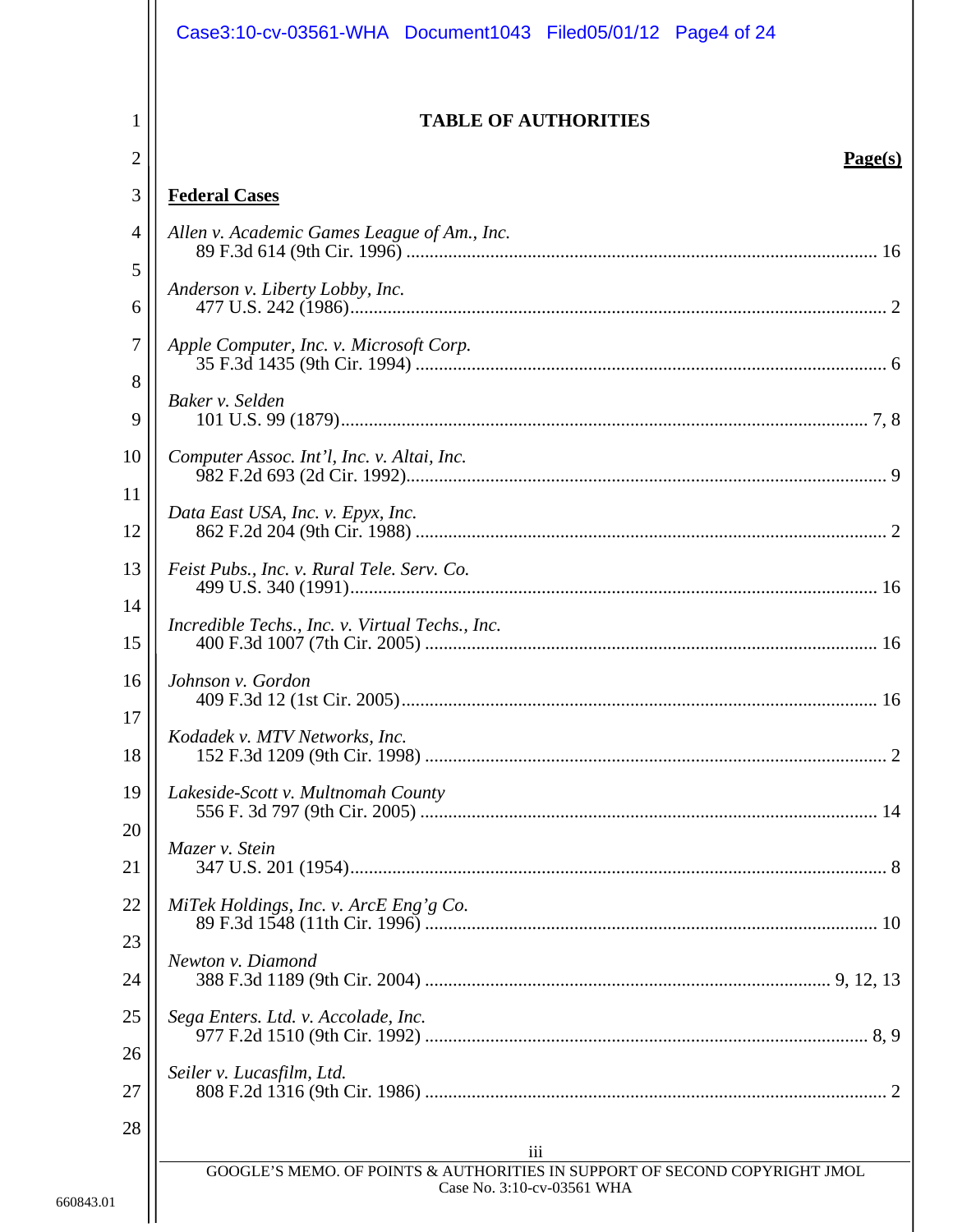|                     | Case3:10-cv-03561-WHA Document1043 Filed05/01/12 Page4 of 24                                             |
|---------------------|----------------------------------------------------------------------------------------------------------|
| 1<br>$\overline{2}$ | <b>TABLE OF AUTHORITIES</b><br>Page(s)                                                                   |
| 3                   | <b>Federal Cases</b>                                                                                     |
| $\overline{4}$      | Allen v. Academic Games League of Am., Inc.                                                              |
| 5                   |                                                                                                          |
| 6                   | Anderson v. Liberty Lobby, Inc.                                                                          |
| $\tau$              | Apple Computer, Inc. v. Microsoft Corp.                                                                  |
| 8<br>9              | Baker v. Selden                                                                                          |
| 10<br>11            | Computer Assoc. Int'l, Inc. v. Altai, Inc.                                                               |
| 12                  | Data East USA, Inc. v. Epyx, Inc.                                                                        |
| 13                  | Feist Pubs., Inc. v. Rural Tele. Serv. Co.                                                               |
| 14<br>15            | Incredible Techs., Inc. v. Virtual Techs., Inc.                                                          |
| 16                  | Johnson v. Gordon                                                                                        |
| 17<br>18            | Kodadek v. MTV Networks, Inc.                                                                            |
| 19                  | Lakeside-Scott v. Multnomah County                                                                       |
| 20<br>21            | Mazer v. Stein                                                                                           |
| 22                  | MiTek Holdings, Inc. v. ArcE Eng'g Co.                                                                   |
| 23<br>24            | Newton v. Diamond                                                                                        |
| 25                  | Sega Enters. Ltd. v. Accolade, Inc.                                                                      |
| 26<br>27            | Seiler v. Lucasfilm, Ltd.                                                                                |
| 28                  | iii                                                                                                      |
|                     | GOOGLE'S MEMO. OF POINTS & AUTHORITIES IN SUPPORT OF SECOND COPYRIGHT JMOL<br>Case No. 3:10-cv-03561 WHA |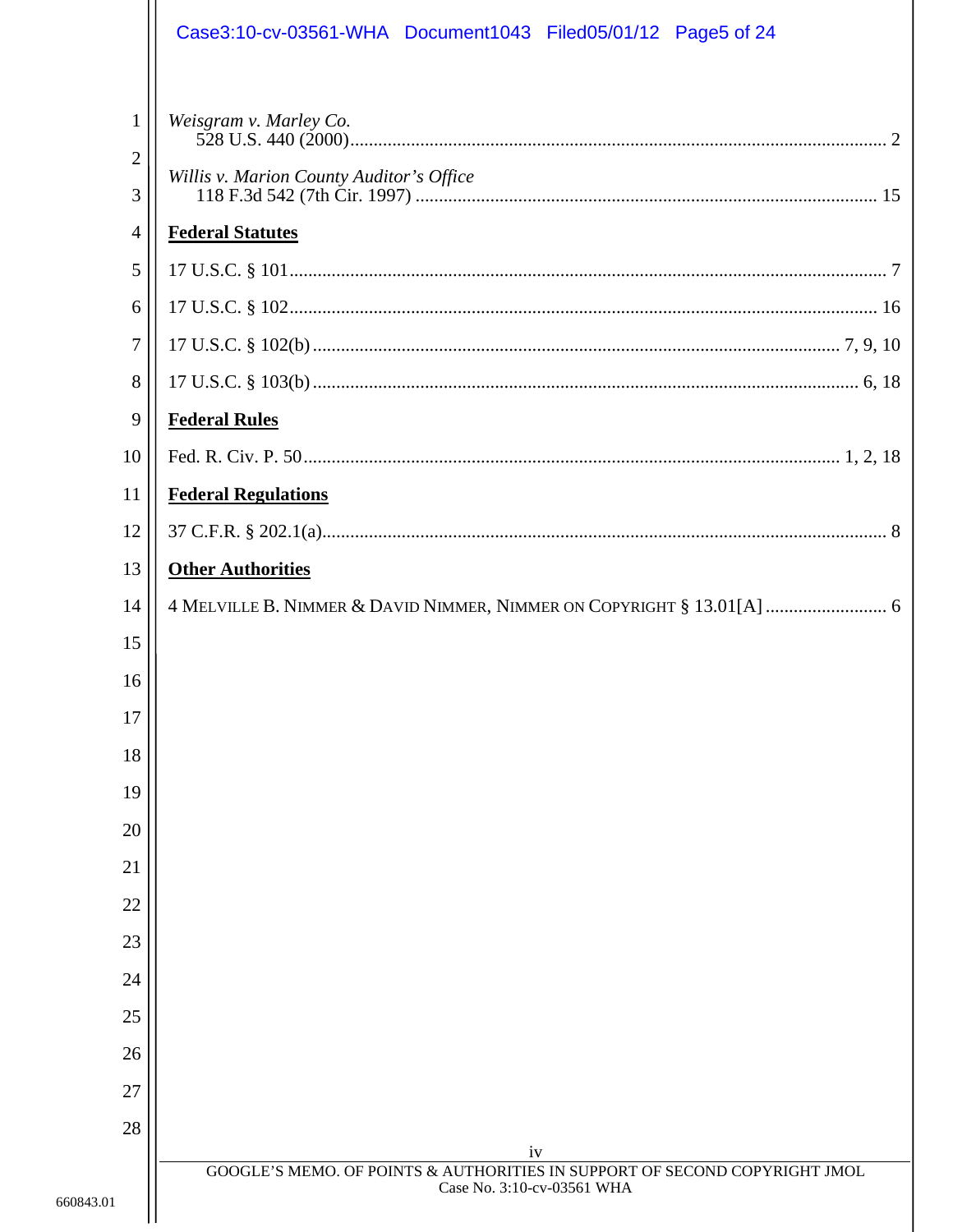|                | Case3:10-cv-03561-WHA Document1043 Filed05/01/12 Page5 of 24                                             |
|----------------|----------------------------------------------------------------------------------------------------------|
| $\mathbf{1}$   | Weisgram v. Marley Co.                                                                                   |
| $\overline{c}$ |                                                                                                          |
| 3              | Willis v. Marion County Auditor's Office                                                                 |
| $\overline{4}$ | <b>Federal Statutes</b>                                                                                  |
| 5              |                                                                                                          |
| 6              |                                                                                                          |
| 7              |                                                                                                          |
| 8              |                                                                                                          |
| 9              | <b>Federal Rules</b>                                                                                     |
| 10             |                                                                                                          |
| 11             | <b>Federal Regulations</b>                                                                               |
| 12             |                                                                                                          |
| 13             | <b>Other Authorities</b>                                                                                 |
| 14             | 4 MELVILLE B. NIMMER & DAVID NIMMER, NIMMER ON COPYRIGHT § 13.01[A]  6                                   |
| 15             |                                                                                                          |
| 16             |                                                                                                          |
| 17             |                                                                                                          |
| 18             |                                                                                                          |
| 19             |                                                                                                          |
| 20             |                                                                                                          |
| 21             |                                                                                                          |
| 22             |                                                                                                          |
| 23             |                                                                                                          |
| 24             |                                                                                                          |
| 25             |                                                                                                          |
| 26             |                                                                                                          |
| 27             |                                                                                                          |
| 28             | iv                                                                                                       |
| 660843.01      | GOOGLE'S MEMO. OF POINTS & AUTHORITIES IN SUPPORT OF SECOND COPYRIGHT JMOL<br>Case No. 3:10-cv-03561 WHA |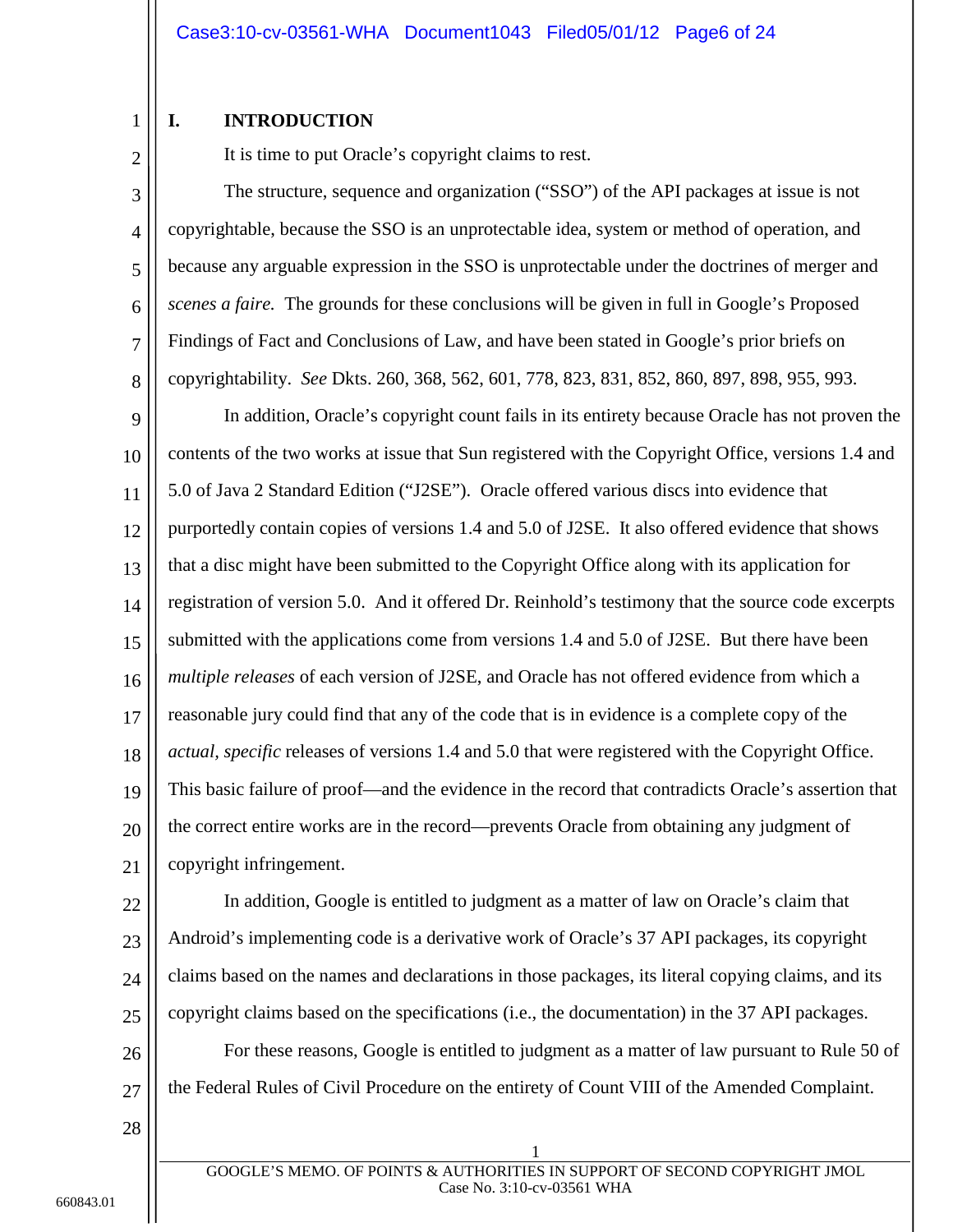### <span id="page-5-0"></span>**I. INTRODUCTION**

2

1

It is time to put Oracle's copyright claims to rest.

3 4 5 6 7 8 The structure, sequence and organization ("SSO") of the API packages at issue is not copyrightable, because the SSO is an unprotectable idea, system or method of operation, and because any arguable expression in the SSO is unprotectable under the doctrines of merger and *scenes a faire.* The grounds for these conclusions will be given in full in Google's Proposed Findings of Fact and Conclusions of Law, and have been stated in Google's prior briefs on copyrightability. *See* Dkts. 260, 368, 562, 601, 778, 823, 831, 852, 860, 897, 898, 955, 993.

9 10 11 12 13 14 15 16 17 18 19 20 21 In addition, Oracle's copyright count fails in its entirety because Oracle has not proven the contents of the two works at issue that Sun registered with the Copyright Office, versions 1.4 and 5.0 of Java 2 Standard Edition ("J2SE"). Oracle offered various discs into evidence that purportedly contain copies of versions 1.4 and 5.0 of J2SE. It also offered evidence that shows that a disc might have been submitted to the Copyright Office along with its application for registration of version 5.0. And it offered Dr. Reinhold's testimony that the source code excerpts submitted with the applications come from versions 1.4 and 5.0 of J2SE. But there have been *multiple releases* of each version of J2SE, and Oracle has not offered evidence from which a reasonable jury could find that any of the code that is in evidence is a complete copy of the *actual, specific* releases of versions 1.4 and 5.0 that were registered with the Copyright Office. This basic failure of proof—and the evidence in the record that contradicts Oracle's assertion that the correct entire works are in the record—prevents Oracle from obtaining any judgment of copyright infringement.

22 23 24 25 26 In addition, Google is entitled to judgment as a matter of law on Oracle's claim that Android's implementing code is a derivative work of Oracle's 37 API packages, its copyright claims based on the names and declarations in those packages, its literal copying claims, and its copyright claims based on the specifications (i.e., the documentation) in the 37 API packages. For these reasons, Google is entitled to judgment as a matter of law pursuant to Rule 50 of

<span id="page-5-1"></span>27 the Federal Rules of Civil Procedure on the entirety of Count VIII of the Amended Complaint.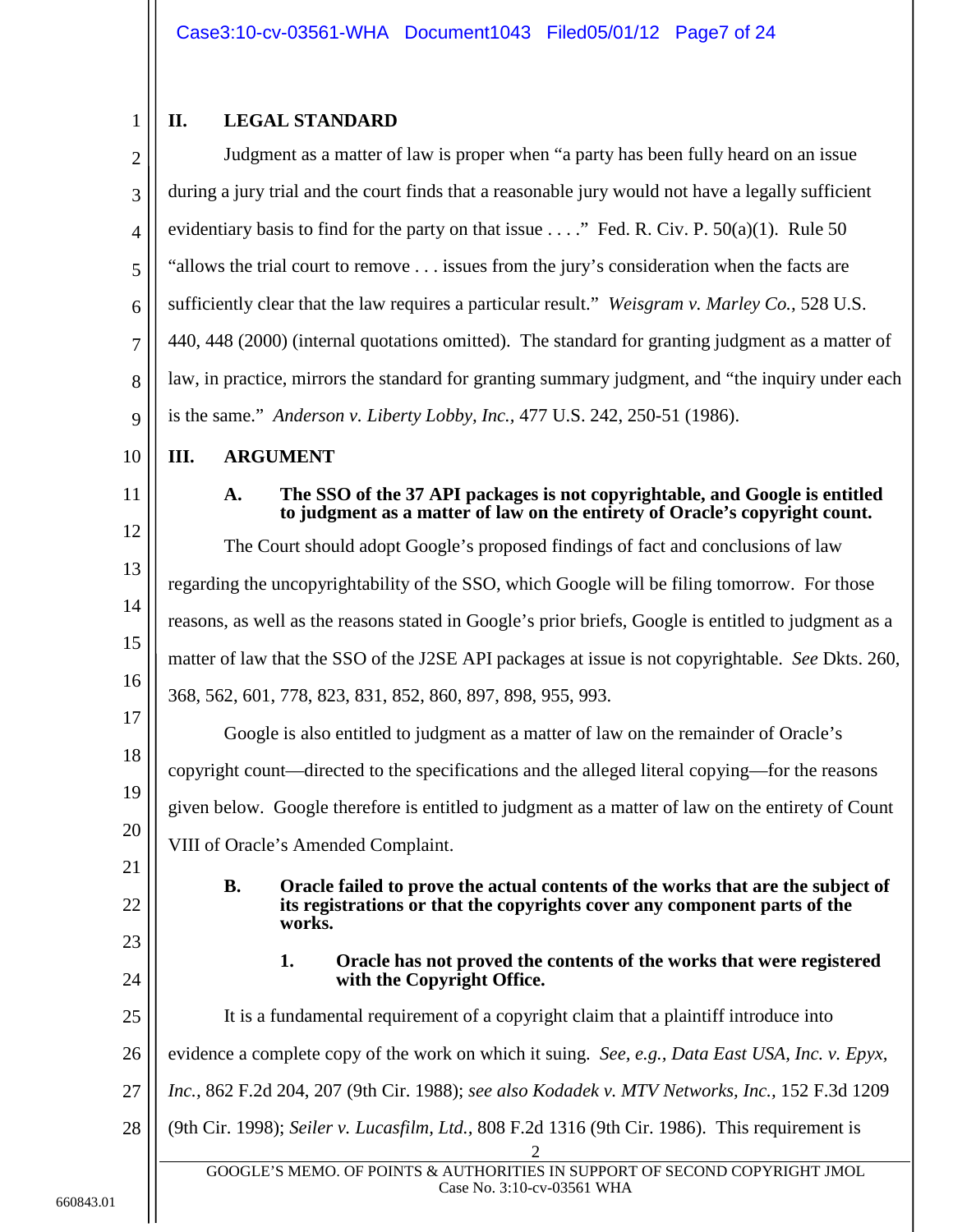#### <span id="page-6-0"></span>1 **II. LEGAL STANDARD**

<span id="page-6-10"></span><span id="page-6-9"></span><span id="page-6-8"></span><span id="page-6-7"></span><span id="page-6-6"></span><span id="page-6-5"></span><span id="page-6-4"></span><span id="page-6-3"></span><span id="page-6-2"></span><span id="page-6-1"></span>

| $\overline{2}$ | Judgment as a matter of law is proper when "a party has been fully heard on an issue                                                                                                |
|----------------|-------------------------------------------------------------------------------------------------------------------------------------------------------------------------------------|
| 3              | during a jury trial and the court finds that a reasonable jury would not have a legally sufficient                                                                                  |
| $\overline{4}$ | evidentiary basis to find for the party on that issue " Fed. R. Civ. P. $50(a)(1)$ . Rule 50                                                                                        |
| 5              | "allows the trial court to remove issues from the jury's consideration when the facts are                                                                                           |
| 6              | sufficiently clear that the law requires a particular result." Weisgram v. Marley Co., 528 U.S.                                                                                     |
| $\overline{7}$ | 440, 448 (2000) (internal quotations omitted). The standard for granting judgment as a matter of                                                                                    |
| 8              | law, in practice, mirrors the standard for granting summary judgment, and "the inquiry under each                                                                                   |
| 9              | is the same." Anderson v. Liberty Lobby, Inc., 477 U.S. 242, 250-51 (1986).                                                                                                         |
| 10             | Ш.<br><b>ARGUMENT</b>                                                                                                                                                               |
| 11             | The SSO of the 37 API packages is not copyrightable, and Google is entitled<br>A.<br>to judgment as a matter of law on the entirety of Oracle's copyright count.                    |
| 12             | The Court should adopt Google's proposed findings of fact and conclusions of law                                                                                                    |
| 13             | regarding the uncopyrightability of the SSO, which Google will be filing tomorrow. For those                                                                                        |
| 14             | reasons, as well as the reasons stated in Google's prior briefs, Google is entitled to judgment as a                                                                                |
| 15             | matter of law that the SSO of the J2SE API packages at issue is not copyrightable. See Dkts. 260,                                                                                   |
| 16             | 368, 562, 601, 778, 823, 831, 852, 860, 897, 898, 955, 993.                                                                                                                         |
| 17             | Google is also entitled to judgment as a matter of law on the remainder of Oracle's                                                                                                 |
| 18             | copyright count—directed to the specifications and the alleged literal copying—for the reasons                                                                                      |
| 19             | given below. Google therefore is entitled to judgment as a matter of law on the entirety of Count                                                                                   |
| 20             | VIII of Oracle's Amended Complaint.                                                                                                                                                 |
| 21<br>22       | Oracle failed to prove the actual contents of the works that are the subject of<br><b>B.</b><br>its registrations or that the copyrights cover any component parts of the<br>works. |
| 23             | Oracle has not proved the contents of the works that were registered<br>1.                                                                                                          |
| 24             | with the Copyright Office.                                                                                                                                                          |
| 25             | It is a fundamental requirement of a copyright claim that a plaintiff introduce into                                                                                                |
| 26             | evidence a complete copy of the work on which it suing. See, e.g., Data East USA, Inc. v. Epyx,                                                                                     |
| 27             | Inc., 862 F.2d 204, 207 (9th Cir. 1988); see also Kodadek v. MTV Networks, Inc., 152 F.3d 1209                                                                                      |
| 28             | (9th Cir. 1998); Seiler v. Lucasfilm, Ltd., 808 F.2d 1316 (9th Cir. 1986). This requirement is                                                                                      |
|                | GOOGLE'S MEMO. OF POINTS & AUTHORITIES IN SUPPORT OF SECOND COPYRIGHT JMOL<br>Case No. 3:10-cv-03561 WHA                                                                            |
|                |                                                                                                                                                                                     |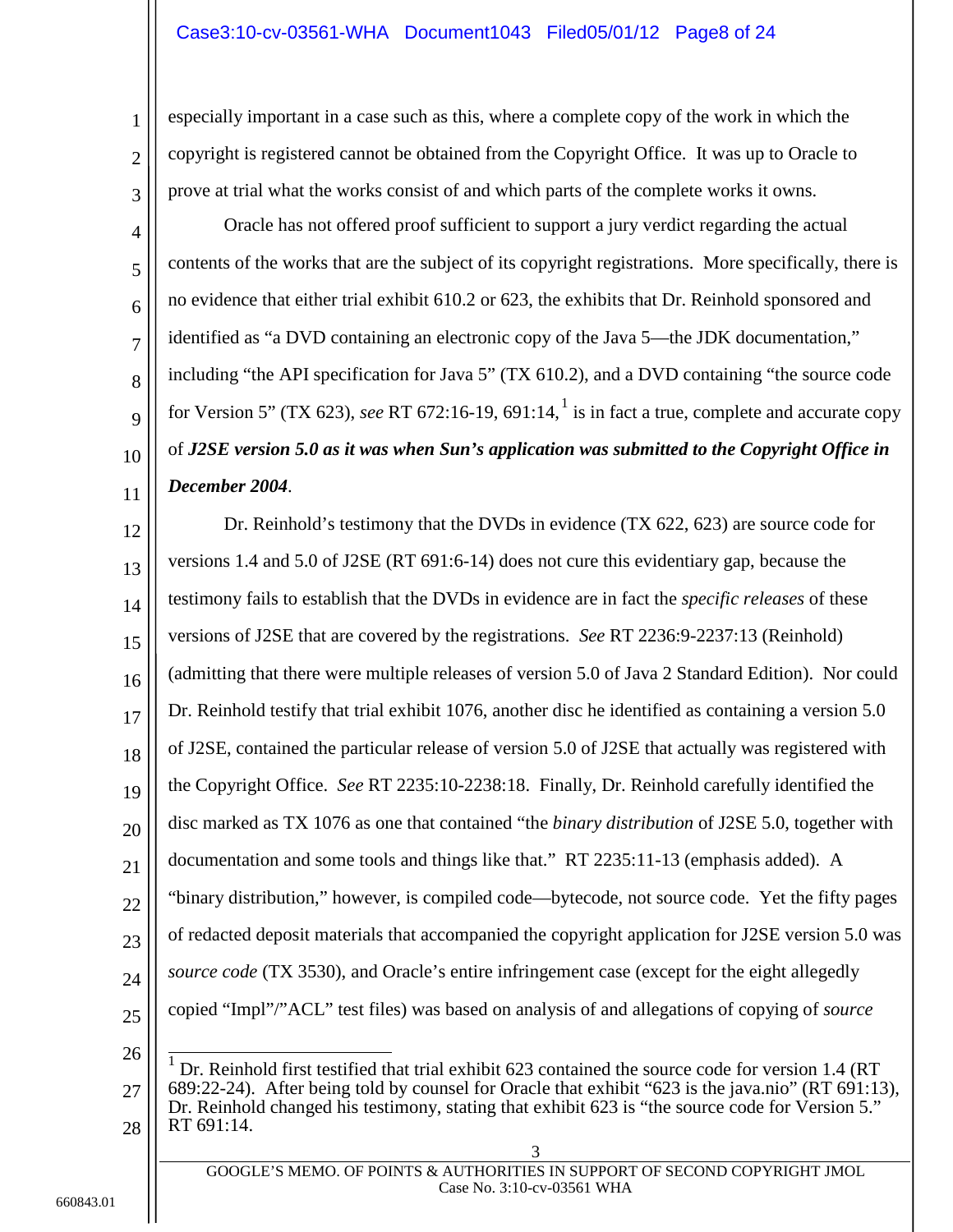### Case3:10-cv-03561-WHA Document1043 Filed05/01/12 Page8 of 24

especially important in a case such as this, where a complete copy of the work in which the copyright is registered cannot be obtained from the Copyright Office. It was up to Oracle to prove at trial what the works consist of and which parts of the complete works it owns.

Oracle has not offered proof sufficient to support a jury verdict regarding the actual contents of the works that are the subject of its copyright registrations. More specifically, there is no evidence that either trial exhibit 610.2 or 623, the exhibits that Dr. Reinhold sponsored and identified as "a DVD containing an electronic copy of the Java 5—the JDK documentation," including "the API specification for Java 5" (TX 610.2), and a DVD containing "the source code for Version 5" (TX 623), *see* RT 672:16-19, 691:14, [1](#page-7-0) is in fact a true, complete and accurate copy of *J2SE version 5.0 as it was when Sun's application was submitted to the Copyright Office in December 2004*.

12 13 14 15 16 17 18 19 20 21 22 23 24 25 26 27 28 3 Dr. Reinhold's testimony that the DVDs in evidence (TX 622, 623) are source code for versions 1.4 and 5.0 of J2SE (RT 691:6-14) does not cure this evidentiary gap, because the testimony fails to establish that the DVDs in evidence are in fact the *specific releases* of these versions of J2SE that are covered by the registrations. *See* RT 2236:9-2237:13 (Reinhold) (admitting that there were multiple releases of version 5.0 of Java 2 Standard Edition). Nor could Dr. Reinhold testify that trial exhibit 1076, another disc he identified as containing a version 5.0 of J2SE, contained the particular release of version 5.0 of J2SE that actually was registered with the Copyright Office. *See* RT 2235:10-2238:18. Finally, Dr. Reinhold carefully identified the disc marked as TX 1076 as one that contained "the *binary distribution* of J2SE 5.0, together with documentation and some tools and things like that." RT 2235:11-13 (emphasis added). A "binary distribution," however, is compiled code—bytecode, not source code. Yet the fifty pages of redacted deposit materials that accompanied the copyright application for J2SE version 5.0 was *source code* (TX 3530), and Oracle's entire infringement case (except for the eight allegedly copied "Impl"/"ACL" test files) was based on analysis of and allegations of copying of *source*  1 Dr. Reinhold first testified that trial exhibit 623 contained the source code for version 1.4 (RT 689:22-24). After being told by counsel for Oracle that exhibit "623 is the java.nio" (RT 691:13), Dr. Reinhold changed his testimony, stating that exhibit 623 is "the source code for Version 5." RT 691:14.

<span id="page-7-0"></span>GOOGLE'S MEMO. OF POINTS & AUTHORITIES IN SUPPORT OF SECOND COPYRIGHT JMOL Case No. 3:10-cv-03561 WHA

1

2

3

4

5

6

7

8

9

10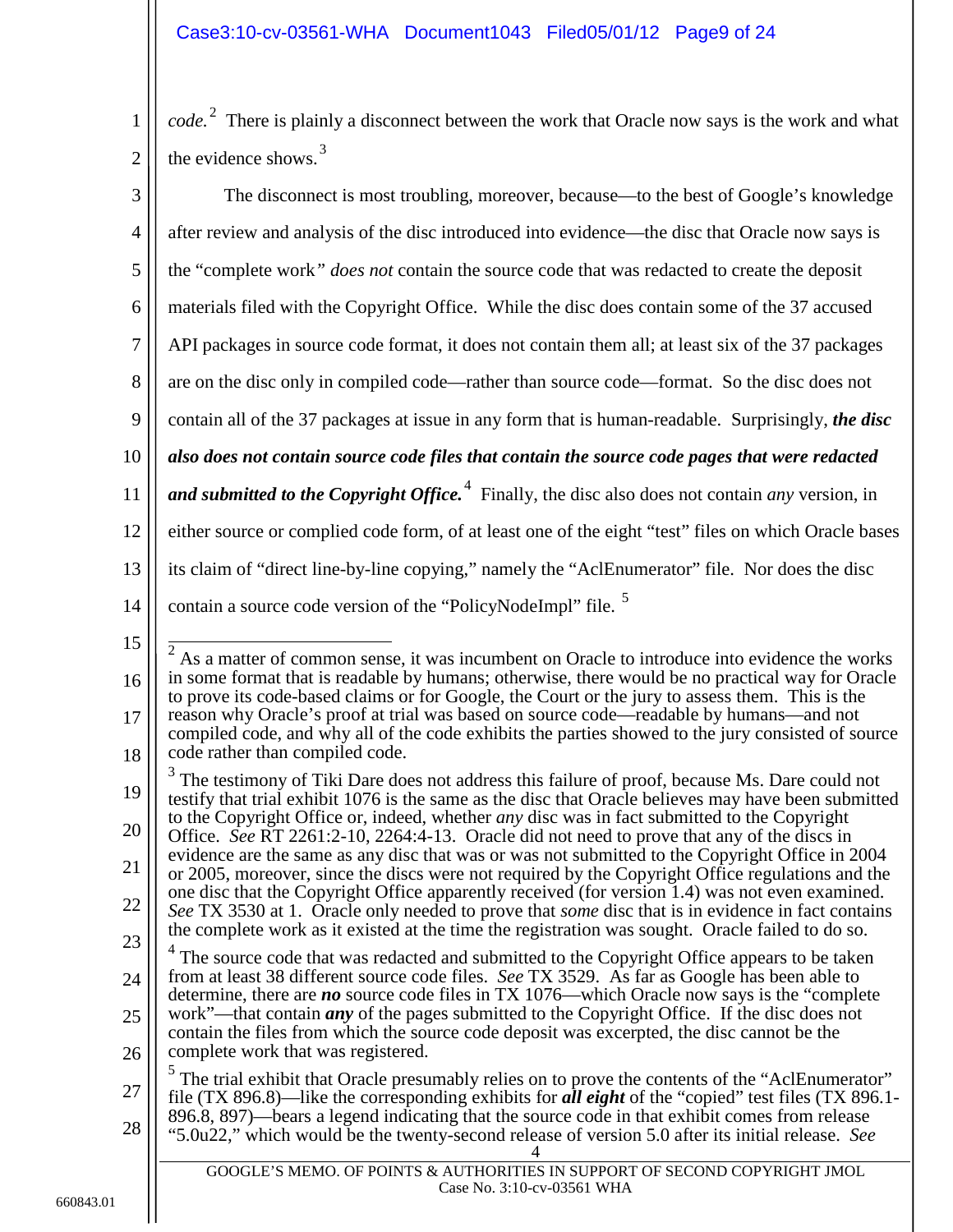1 2 *code*.<sup>[2](#page-8-0)</sup> There is plainly a disconnect between the work that Oracle now says is the work and what the evidence shows. $3$ 

<span id="page-8-3"></span><span id="page-8-2"></span><span id="page-8-1"></span><span id="page-8-0"></span>

| 3                                                  | The disconnect is most troubling, moreover, because—to the best of Google's knowledge                                                                                                                                                                                                                                                                                                                                                                                                                                                                                                                                                                                                                                                                                                                                                                                                                                                                                                                                                                                                                                                                                                                                                                                                                                                                                                                                                                                                      |
|----------------------------------------------------|--------------------------------------------------------------------------------------------------------------------------------------------------------------------------------------------------------------------------------------------------------------------------------------------------------------------------------------------------------------------------------------------------------------------------------------------------------------------------------------------------------------------------------------------------------------------------------------------------------------------------------------------------------------------------------------------------------------------------------------------------------------------------------------------------------------------------------------------------------------------------------------------------------------------------------------------------------------------------------------------------------------------------------------------------------------------------------------------------------------------------------------------------------------------------------------------------------------------------------------------------------------------------------------------------------------------------------------------------------------------------------------------------------------------------------------------------------------------------------------------|
| $\overline{4}$                                     | after review and analysis of the disc introduced into evidence—the disc that Oracle now says is                                                                                                                                                                                                                                                                                                                                                                                                                                                                                                                                                                                                                                                                                                                                                                                                                                                                                                                                                                                                                                                                                                                                                                                                                                                                                                                                                                                            |
| 5                                                  | the "complete work" does not contain the source code that was redacted to create the deposit                                                                                                                                                                                                                                                                                                                                                                                                                                                                                                                                                                                                                                                                                                                                                                                                                                                                                                                                                                                                                                                                                                                                                                                                                                                                                                                                                                                               |
| 6                                                  | materials filed with the Copyright Office. While the disc does contain some of the 37 accused                                                                                                                                                                                                                                                                                                                                                                                                                                                                                                                                                                                                                                                                                                                                                                                                                                                                                                                                                                                                                                                                                                                                                                                                                                                                                                                                                                                              |
| $\tau$                                             | API packages in source code format, it does not contain them all; at least six of the 37 packages                                                                                                                                                                                                                                                                                                                                                                                                                                                                                                                                                                                                                                                                                                                                                                                                                                                                                                                                                                                                                                                                                                                                                                                                                                                                                                                                                                                          |
| 8                                                  | are on the disc only in compiled code—rather than source code—format. So the disc does not                                                                                                                                                                                                                                                                                                                                                                                                                                                                                                                                                                                                                                                                                                                                                                                                                                                                                                                                                                                                                                                                                                                                                                                                                                                                                                                                                                                                 |
| 9                                                  | contain all of the 37 packages at issue in any form that is human-readable. Surprisingly, the disc                                                                                                                                                                                                                                                                                                                                                                                                                                                                                                                                                                                                                                                                                                                                                                                                                                                                                                                                                                                                                                                                                                                                                                                                                                                                                                                                                                                         |
| 10                                                 | also does not contain source code files that contain the source code pages that were redacted                                                                                                                                                                                                                                                                                                                                                                                                                                                                                                                                                                                                                                                                                                                                                                                                                                                                                                                                                                                                                                                                                                                                                                                                                                                                                                                                                                                              |
| 11                                                 | and submitted to the Copyright Office. <sup>4</sup> Finally, the disc also does not contain <i>any</i> version, in                                                                                                                                                                                                                                                                                                                                                                                                                                                                                                                                                                                                                                                                                                                                                                                                                                                                                                                                                                                                                                                                                                                                                                                                                                                                                                                                                                         |
| 12                                                 | either source or complied code form, of at least one of the eight "test" files on which Oracle bases                                                                                                                                                                                                                                                                                                                                                                                                                                                                                                                                                                                                                                                                                                                                                                                                                                                                                                                                                                                                                                                                                                                                                                                                                                                                                                                                                                                       |
| 13                                                 | its claim of "direct line-by-line copying," namely the "AclEnumerator" file. Nor does the disc                                                                                                                                                                                                                                                                                                                                                                                                                                                                                                                                                                                                                                                                                                                                                                                                                                                                                                                                                                                                                                                                                                                                                                                                                                                                                                                                                                                             |
| 14                                                 | contain a source code version of the "PolicyNodeImpl" file. <sup>5</sup>                                                                                                                                                                                                                                                                                                                                                                                                                                                                                                                                                                                                                                                                                                                                                                                                                                                                                                                                                                                                                                                                                                                                                                                                                                                                                                                                                                                                                   |
| 15<br>16<br>17<br>18<br>19<br>20<br>21<br>22<br>23 | As a matter of common sense, it was incumbent on Oracle to introduce into evidence the works<br>in some format that is readable by humans; otherwise, there would be no practical way for Oracle<br>to prove its code-based claims or for Google, the Court or the jury to assess them. This is the<br>reason why Oracle's proof at trial was based on source code—readable by humans—and not<br>compiled code, and why all of the code exhibits the parties showed to the jury consisted of source<br>code rather than compiled code.<br><sup>3</sup> The testimony of Tiki Dare does not address this failure of proof, because Ms. Dare could not<br>testify that trial exhibit 1076 is the same as the disc that Oracle believes may have been submitted<br>to the Copyright Office or, indeed, whether <i>any</i> disc was in fact submitted to the Copyright<br>Office. See RT 2261:2-10, 2264:4-13. Oracle did not need to prove that any of the discs in<br>evidence are the same as any disc that was or was not submitted to the Copyright Office in 2004<br>or 2005, moreover, since the discs were not required by the Copyright Office regulations and the<br>one disc that the Copyright Office apparently received (for version 1.4) was not even examined.<br>See TX 3530 at 1. Oracle only needed to prove that <i>some</i> disc that is in evidence in fact contains<br>the complete work as it existed at the time the registration was sought. Oracle failed to do so. |
| 24<br>25<br>26<br>27                               | $4$ The source code that was redacted and submitted to the Copyright Office appears to be taken<br>from at least 38 different source code files. See TX 3529. As far as Google has been able to<br>determine, there are no source code files in TX 1076—which Oracle now says is the "complete"<br>work"—that contain <i>any</i> of the pages submitted to the Copyright Office. If the disc does not<br>contain the files from which the source code deposit was excerpted, the disc cannot be the<br>complete work that was registered.<br>$\frac{5}{1}$ The trial exhibit that Oracle presumably relies on to prove the contents of the "AclEnumerator"<br>file (TX 896.8)—like the corresponding exhibits for <b>all eight</b> of the "copied" test files (TX 896.1-                                                                                                                                                                                                                                                                                                                                                                                                                                                                                                                                                                                                                                                                                                                   |
| 28                                                 | 896.8, 897)—bears a legend indicating that the source code in that exhibit comes from release<br>"5.0u22," which would be the twenty-second release of version 5.0 after its initial release. See                                                                                                                                                                                                                                                                                                                                                                                                                                                                                                                                                                                                                                                                                                                                                                                                                                                                                                                                                                                                                                                                                                                                                                                                                                                                                          |
|                                                    | GOOGLE'S MEMO. OF POINTS & AUTHORITIES IN SUPPORT OF SECOND COPYRIGHT JMOL<br>Case No. 3:10-cv-03561 WHA                                                                                                                                                                                                                                                                                                                                                                                                                                                                                                                                                                                                                                                                                                                                                                                                                                                                                                                                                                                                                                                                                                                                                                                                                                                                                                                                                                                   |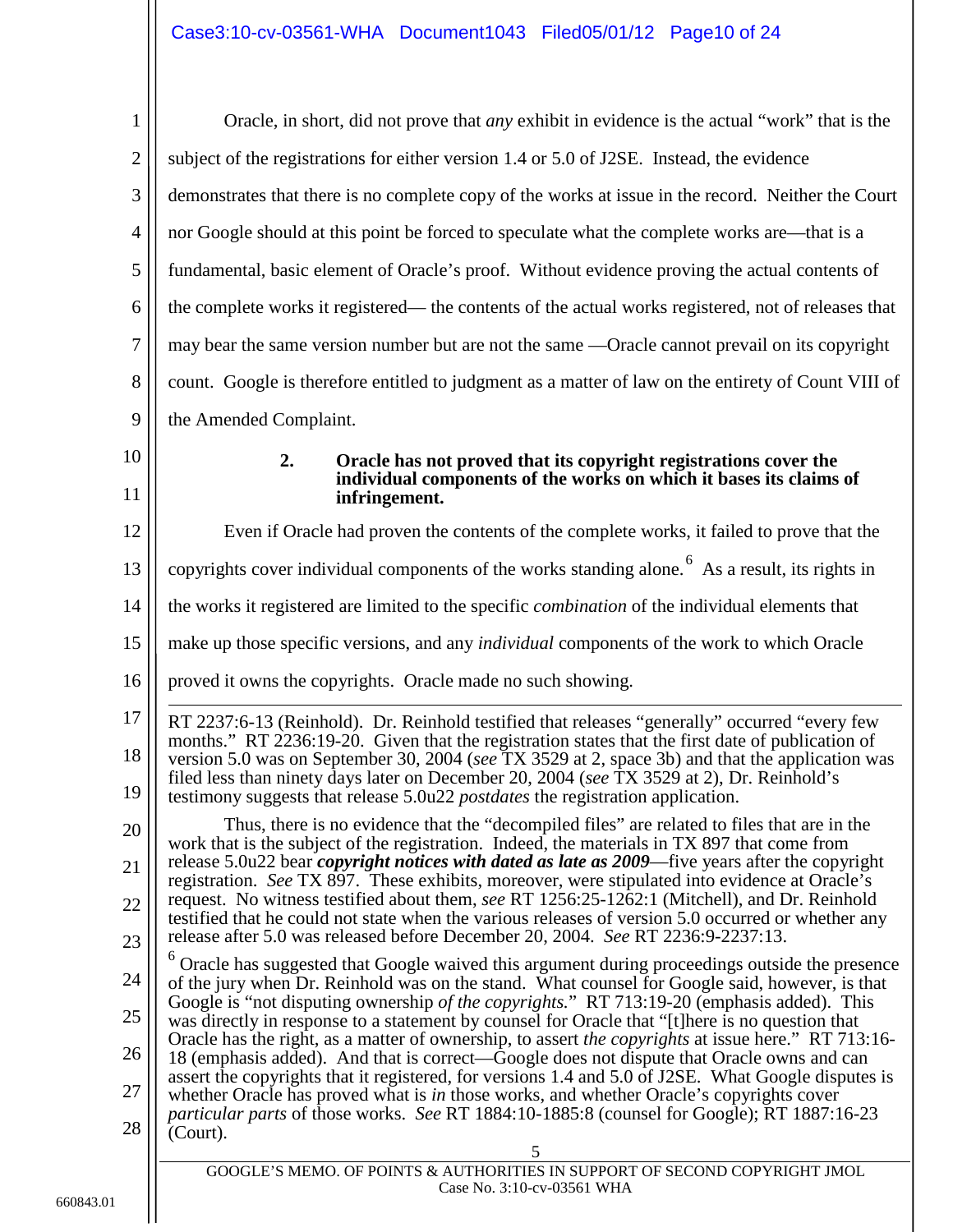<span id="page-9-1"></span><span id="page-9-0"></span>

| $\mathbf{1}$     | Oracle, in short, did not prove that <i>any</i> exhibit in evidence is the actual "work" that is the                                                                                                                                                                                             |
|------------------|--------------------------------------------------------------------------------------------------------------------------------------------------------------------------------------------------------------------------------------------------------------------------------------------------|
| $\mathbf{2}$     | subject of the registrations for either version 1.4 or 5.0 of J2SE. Instead, the evidence                                                                                                                                                                                                        |
| $\mathfrak{Z}$   | demonstrates that there is no complete copy of the works at issue in the record. Neither the Court                                                                                                                                                                                               |
| $\overline{4}$   | nor Google should at this point be forced to speculate what the complete works are—that is a                                                                                                                                                                                                     |
| 5                | fundamental, basic element of Oracle's proof. Without evidence proving the actual contents of                                                                                                                                                                                                    |
| 6                | the complete works it registered— the contents of the actual works registered, not of releases that                                                                                                                                                                                              |
| $\boldsymbol{7}$ | may bear the same version number but are not the same —Oracle cannot prevail on its copyright                                                                                                                                                                                                    |
| $8\,$            | count. Google is therefore entitled to judgment as a matter of law on the entirety of Count VIII of                                                                                                                                                                                              |
| 9                | the Amended Complaint.                                                                                                                                                                                                                                                                           |
| 10               | 2.<br>Oracle has not proved that its copyright registrations cover the                                                                                                                                                                                                                           |
| 11               | individual components of the works on which it bases its claims of<br>infringement.                                                                                                                                                                                                              |
| 12               | Even if Oracle had proven the contents of the complete works, it failed to prove that the                                                                                                                                                                                                        |
| 13               | copyrights cover individual components of the works standing alone. <sup>6</sup> As a result, its rights in                                                                                                                                                                                      |
| 14               | the works it registered are limited to the specific <i>combination</i> of the individual elements that                                                                                                                                                                                           |
| 15               | make up those specific versions, and any <i>individual</i> components of the work to which Oracle                                                                                                                                                                                                |
| 16               | proved it owns the copyrights. Oracle made no such showing.                                                                                                                                                                                                                                      |
| 17               | RT 2237:6-13 (Reinhold). Dr. Reinhold testified that releases "generally" occurred "every few                                                                                                                                                                                                    |
| 18               | months." RT 2236:19-20. Given that the registration states that the first date of publication of<br>version 5.0 was on September 30, 2004 (see TX 3529 at 2, space 3b) and that the application was<br>filed less than ninety days later on December 20, 2004 (see TX 3529 at 2), Dr. Reinhold's |
| 19               | testimony suggests that release 5.0u22 postdates the registration application.                                                                                                                                                                                                                   |
| 20               | Thus, there is no evidence that the "decompiled files" are related to files that are in the<br>work that is the subject of the registration. Indeed, the materials in TX 897 that come from                                                                                                      |
| 21               | release $5.0u22$ bear <i>copyright notices with dated as late as 2009</i> —five years after the copyright<br>registration. See TX 897. These exhibits, moreover, were stipulated into evidence at Oracle's                                                                                       |
| 22               | request. No witness testified about them, see RT 1256:25-1262:1 (Mitchell), and Dr. Reinhold<br>testified that he could not state when the various releases of version 5.0 occurred or whether any                                                                                               |
| 23               | release after 5.0 was released before December 20, 2004. See RT 2236:9-2237:13.                                                                                                                                                                                                                  |
| 24               | Oracle has suggested that Google waived this argument during proceedings outside the presence<br>of the jury when Dr. Reinhold was on the stand. What counsel for Google said, however, is that                                                                                                  |
| 25               | Google is "not disputing ownership of the copyrights." RT 713:19-20 (emphasis added). This<br>was directly in response to a statement by counsel for Oracle that "[t] here is no question that                                                                                                   |
| 26               | Oracle has the right, as a matter of ownership, to assert the copyrights at issue here." RT 713:16-<br>18 (emphasis added). And that is correct—Google does not dispute that Oracle owns and can                                                                                                 |
| 27               | assert the copyrights that it registered, for versions 1.4 and 5.0 of J2SE. What Google disputes is<br>whether Oracle has proved what is in those works, and whether Oracle's copyrights cover                                                                                                   |
| 28               | particular parts of those works. See RT 1884:10-1885:8 (counsel for Google); RT 1887:16-23<br>(Court).                                                                                                                                                                                           |
|                  | 5                                                                                                                                                                                                                                                                                                |
|                  | GOOGLE'S MEMO. OF POINTS & AUTHORITIES IN SUPPORT OF SECOND COPYRIGHT JMOL<br>Case No. 3:10-cv-03561 WHA                                                                                                                                                                                         |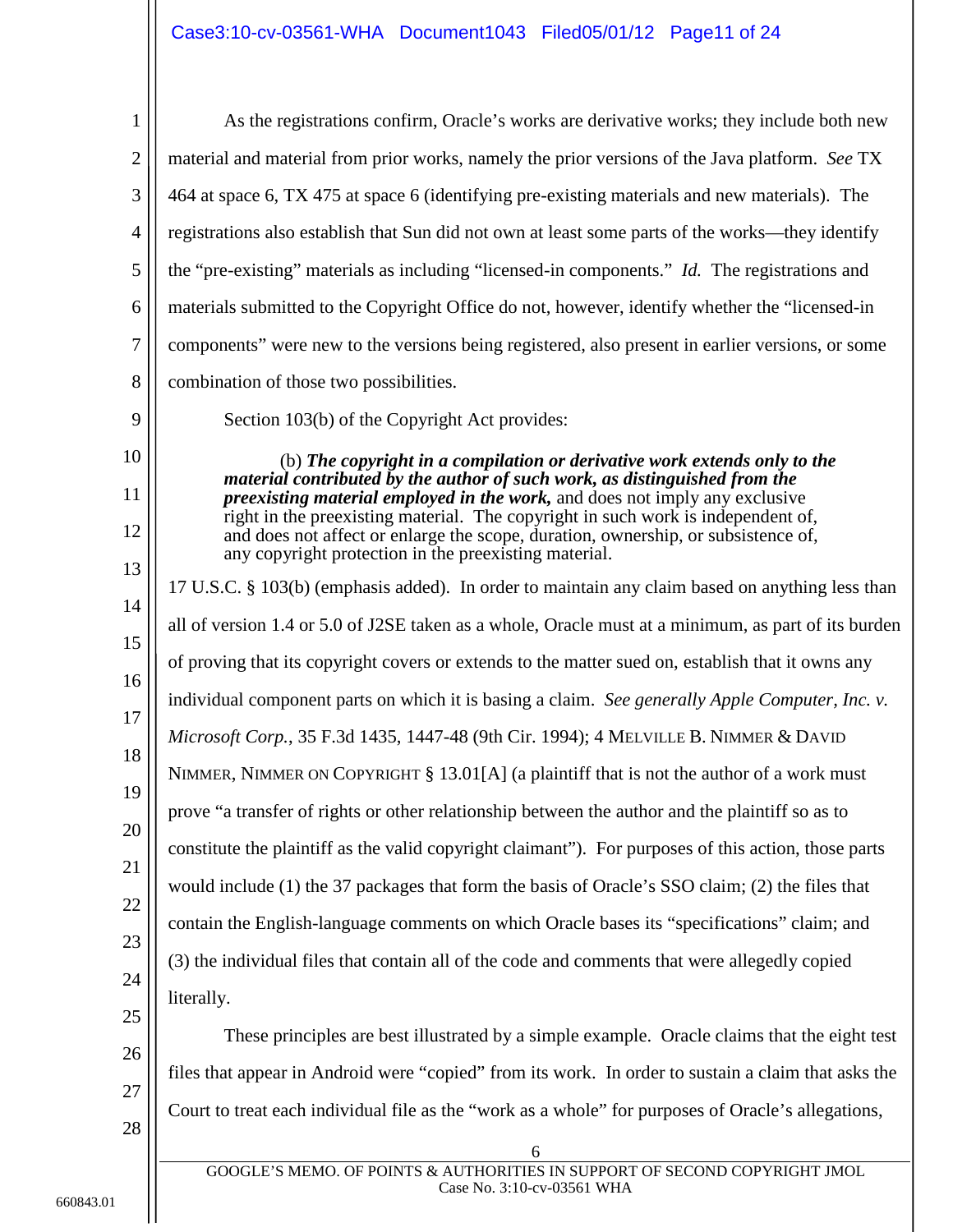<span id="page-10-1"></span>

| $\mathbf{1}$ | As the registrations confirm, Oracle's works are derivative works; they include both new                                                                              |  |  |
|--------------|-----------------------------------------------------------------------------------------------------------------------------------------------------------------------|--|--|
| $\mathbf{2}$ | material and material from prior works, namely the prior versions of the Java platform. See TX                                                                        |  |  |
| 3            | 464 at space 6, TX 475 at space 6 (identifying pre-existing materials and new materials). The                                                                         |  |  |
| 4            | registrations also establish that Sun did not own at least some parts of the works—they identify                                                                      |  |  |
| 5            | the "pre-existing" materials as including "licensed-in components." <i>Id.</i> The registrations and                                                                  |  |  |
| 6            | materials submitted to the Copyright Office do not, however, identify whether the "licensed-in                                                                        |  |  |
| $\tau$       | components" were new to the versions being registered, also present in earlier versions, or some                                                                      |  |  |
| 8            | combination of those two possibilities.                                                                                                                               |  |  |
| 9            | Section 103(b) of the Copyright Act provides:                                                                                                                         |  |  |
| 10           | (b) The copyright in a compilation or derivative work extends only to the                                                                                             |  |  |
| 11           | material contributed by the author of such work, as distinguished from the<br><i>preexisting material employed in the work</i> , and does not imply any exclusive     |  |  |
| 12           | right in the preexisting material. The copyright in such work is independent of,<br>and does not affect or enlarge the scope, duration, ownership, or subsistence of, |  |  |
| 13           | any copyright protection in the preexisting material.                                                                                                                 |  |  |
| 14           | 17 U.S.C. § 103(b) (emphasis added). In order to maintain any claim based on anything less than                                                                       |  |  |
| 15           | all of version 1.4 or 5.0 of J2SE taken as a whole, Oracle must at a minimum, as part of its burden                                                                   |  |  |
| 16           | of proving that its copyright covers or extends to the matter sued on, establish that it owns any                                                                     |  |  |
| 17           | individual component parts on which it is basing a claim. See generally Apple Computer, Inc. v.                                                                       |  |  |
| 18           | Microsoft Corp., 35 F.3d 1435, 1447-48 (9th Cir. 1994); 4 MELVILLE B. NIMMER & DAVID                                                                                  |  |  |
| 19           | NIMMER, NIMMER ON COPYRIGHT $\S$ 13.01[A] (a plaintiff that is not the author of a work must                                                                          |  |  |
| 20           | prove "a transfer of rights or other relationship between the author and the plaintiff so as to                                                                       |  |  |
| 21           | constitute the plaintiff as the valid copyright claimant"). For purposes of this action, those parts                                                                  |  |  |
|              | would include (1) the 37 packages that form the basis of Oracle's SSO claim; (2) the files that                                                                       |  |  |
| 22           | contain the English-language comments on which Oracle bases its "specifications" claim; and                                                                           |  |  |
| 23           | (3) the individual files that contain all of the code and comments that were allegedly copied                                                                         |  |  |
| 24           | literally.                                                                                                                                                            |  |  |
| 25           | These principles are best illustrated by a simple example. Oracle claims that the eight test                                                                          |  |  |
| 26           | files that appear in Android were "copied" from its work. In order to sustain a claim that asks the                                                                   |  |  |
| 27           | Court to treat each individual file as the "work as a whole" for purposes of Oracle's allegations,                                                                    |  |  |
| 28           | 6                                                                                                                                                                     |  |  |
|              | GOOGLE'S MEMO. OF POINTS & AUTHORITIES IN SUPPORT OF SECOND COPYRIGHT JMOL                                                                                            |  |  |

<span id="page-10-2"></span><span id="page-10-0"></span>Case No. 3:10-cv-03561 WHA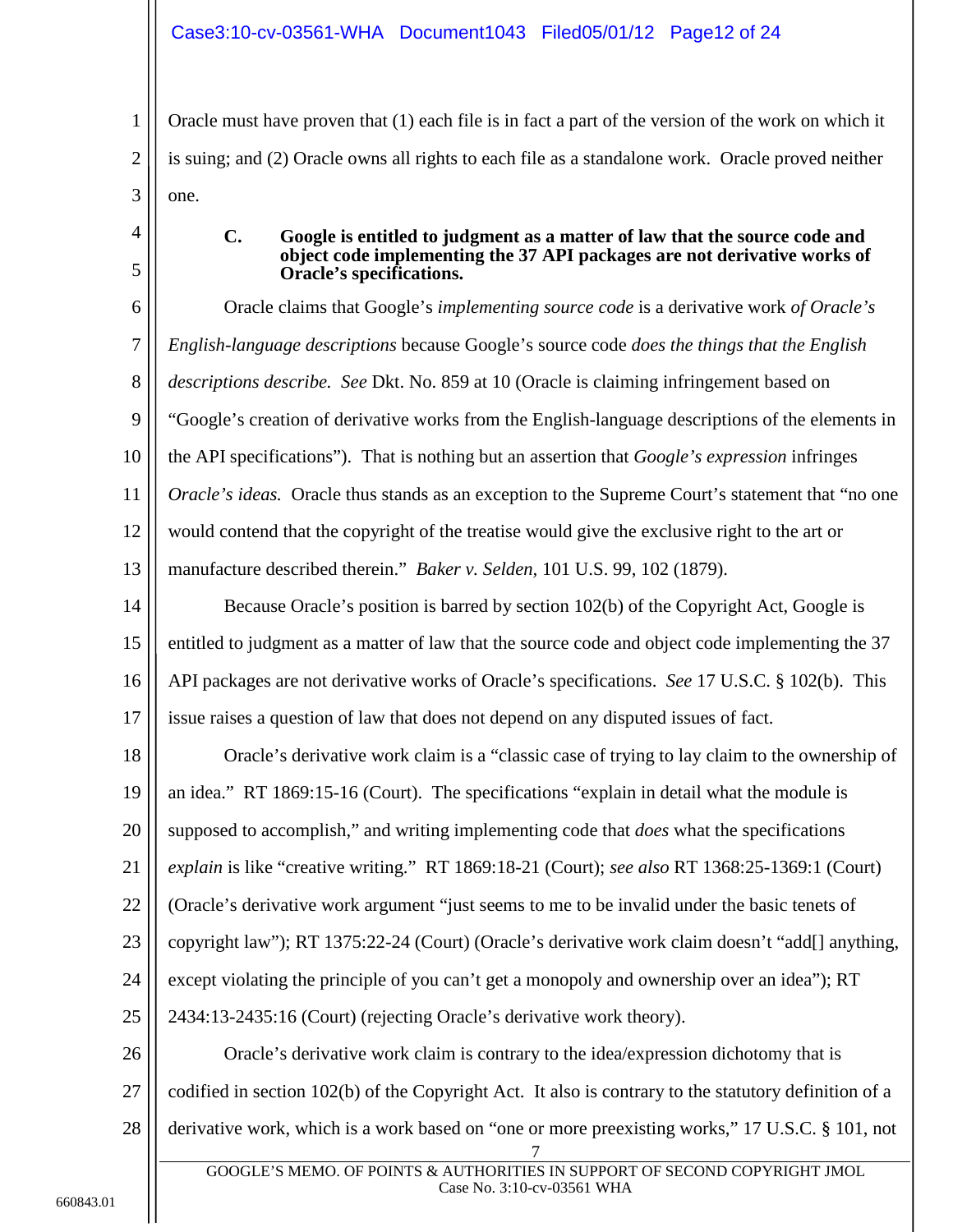Oracle must have proven that (1) each file is in fact a part of the version of the work on which it is suing; and (2) Oracle owns all rights to each file as a standalone work. Oracle proved neither one.

> **C. Google is entitled to judgment as a matter of law that the source code and object code implementing the 37 API packages are not derivative works of Oracle's specifications.**

6 7 8 9 10 11 12 13 Oracle claims that Google's *implementing source code* is a derivative work *of Oracle's English-language descriptions* because Google's source code *does the things that the English descriptions describe. See* Dkt. No. 859 at 10 (Oracle is claiming infringement based on "Google's creation of derivative works from the English-language descriptions of the elements in the API specifications"). That is nothing but an assertion that *Google's expression* infringes *Oracle's ideas.* Oracle thus stands as an exception to the Supreme Court's statement that "no one would contend that the copyright of the treatise would give the exclusive right to the art or manufacture described therein." *Baker v. Selden,* 101 U.S. 99, 102 (1879).

<span id="page-11-3"></span><span id="page-11-1"></span>14 15 16 17 Because Oracle's position is barred by section 102(b) of the Copyright Act, Google is entitled to judgment as a matter of law that the source code and object code implementing the 37 API packages are not derivative works of Oracle's specifications. *See* 17 U.S.C. § 102(b). This issue raises a question of law that does not depend on any disputed issues of fact.

18 19 20 21 22 23 24 25 Oracle's derivative work claim is a "classic case of trying to lay claim to the ownership of an idea." RT 1869:15-16 (Court). The specifications "explain in detail what the module is supposed to accomplish," and writing implementing code that *does* what the specifications *explain* is like "creative writing." RT 1869:18-21 (Court); *see also* RT 1368:25-1369:1 (Court) (Oracle's derivative work argument "just seems to me to be invalid under the basic tenets of copyright law"); RT 1375:22-24 (Court) (Oracle's derivative work claim doesn't "add[] anything, except violating the principle of you can't get a monopoly and ownership over an idea"); RT 2434:13-2435:16 (Court) (rejecting Oracle's derivative work theory).

<span id="page-11-2"></span>26 27 28 7 Oracle's derivative work claim is contrary to the idea/expression dichotomy that is codified in section 102(b) of the Copyright Act. It also is contrary to the statutory definition of a derivative work, which is a work based on "one or more preexisting works," 17 U.S.C. § 101, not

1

2

3

<span id="page-11-0"></span>4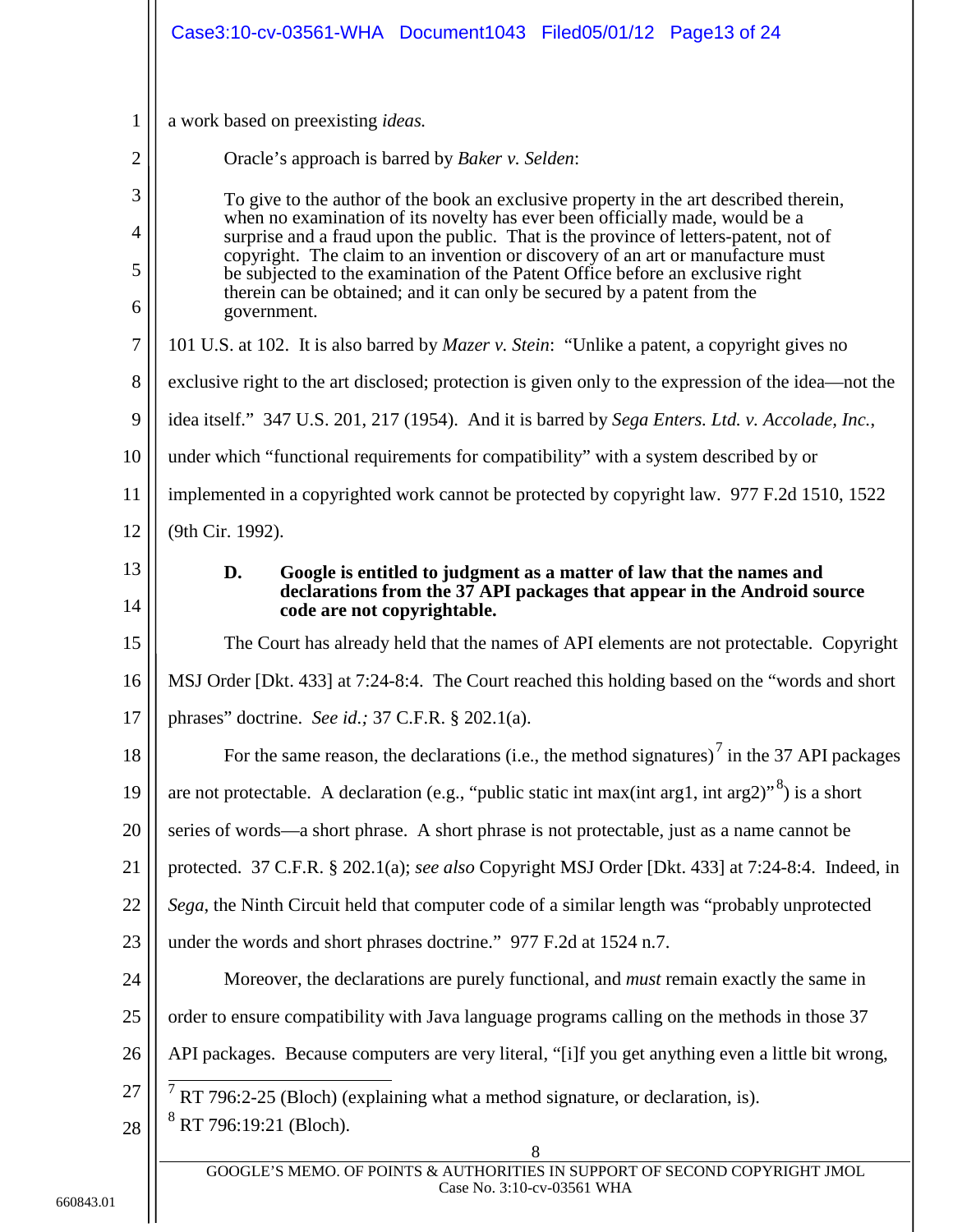<span id="page-12-6"></span><span id="page-12-5"></span><span id="page-12-4"></span><span id="page-12-3"></span><span id="page-12-2"></span><span id="page-12-1"></span><span id="page-12-0"></span>

|                | Case3:10-cv-03561-WHA Document1043 Filed05/01/12 Page13 of 24                                                                                                                        |  |  |
|----------------|--------------------------------------------------------------------------------------------------------------------------------------------------------------------------------------|--|--|
| $\mathbf{1}$   | a work based on preexisting <i>ideas</i> .                                                                                                                                           |  |  |
| $\overline{2}$ | Oracle's approach is barred by <i>Baker v. Selden</i> :                                                                                                                              |  |  |
| 3              | To give to the author of the book an exclusive property in the art described therein,                                                                                                |  |  |
| $\overline{4}$ | when no examination of its novelty has ever been officially made, would be a<br>surprise and a fraud upon the public. That is the province of letters-patent, not of                 |  |  |
| 5              | copyright. The claim to an invention or discovery of an art or manufacture must<br>be subjected to the examination of the Patent Office before an exclusive right                    |  |  |
| 6              | therein can be obtained; and it can only be secured by a patent from the<br>government.                                                                                              |  |  |
| 7              | 101 U.S. at 102. It is also barred by <i>Mazer v. Stein:</i> "Unlike a patent, a copyright gives no                                                                                  |  |  |
| 8              | exclusive right to the art disclosed; protection is given only to the expression of the idea—not the                                                                                 |  |  |
| 9              | idea itself." 347 U.S. 201, 217 (1954). And it is barred by Sega Enters. Ltd. v. Accolade, Inc.,                                                                                     |  |  |
| 10             | under which "functional requirements for compatibility" with a system described by or                                                                                                |  |  |
| 11             | implemented in a copyrighted work cannot be protected by copyright law. 977 F.2d 1510, 1522                                                                                          |  |  |
| 12             | (9th Cir. 1992).                                                                                                                                                                     |  |  |
| 13<br>14       | D.<br>Google is entitled to judgment as a matter of law that the names and<br>declarations from the 37 API packages that appear in the Android source<br>code are not copyrightable. |  |  |
| 15             | The Court has already held that the names of API elements are not protectable. Copyright                                                                                             |  |  |
| 16             | MSJ Order [Dkt. 433] at 7:24-8:4. The Court reached this holding based on the "words and short                                                                                       |  |  |
| 17             | phrases" doctrine. See id.; 37 C.F.R. § 202.1(a).                                                                                                                                    |  |  |
| 18             | For the same reason, the declarations (i.e., the method signatures) $\hat{I}$ in the 37 API packages                                                                                 |  |  |
| 19             | are not protectable. A declaration (e.g., "public static int max(int arg1, int arg2)" $\frac{8}{3}$ ) is a short                                                                     |  |  |
| 20             | series of words—a short phrase. A short phrase is not protectable, just as a name cannot be                                                                                          |  |  |
| 21             | protected. 37 C.F.R. § 202.1(a); see also Copyright MSJ Order [Dkt. 433] at 7:24-8:4. Indeed, in                                                                                     |  |  |
| 22             | Sega, the Ninth Circuit held that computer code of a similar length was "probably unprotected                                                                                        |  |  |
| 23             | under the words and short phrases doctrine." 977 F.2d at 1524 n.7.                                                                                                                   |  |  |
| 24             | Moreover, the declarations are purely functional, and <i>must</i> remain exactly the same in                                                                                         |  |  |
| 25             | order to ensure compatibility with Java language programs calling on the methods in those 37                                                                                         |  |  |
| 26             | API packages. Because computers are very literal, "[i]f you get anything even a little bit wrong,                                                                                    |  |  |
| 27<br>28       | $7$ RT 796:2-25 (Bloch) (explaining what a method signature, or declaration, is).<br><sup>8</sup> RT 796:19:21 (Bloch).                                                              |  |  |
|                | 8<br>GOOGLE'S MEMO. OF POINTS & AUTHORITIES IN SUPPORT OF SECOND COPYRIGHT JMOL<br>Case No. 3:10-cv-03561 WHA                                                                        |  |  |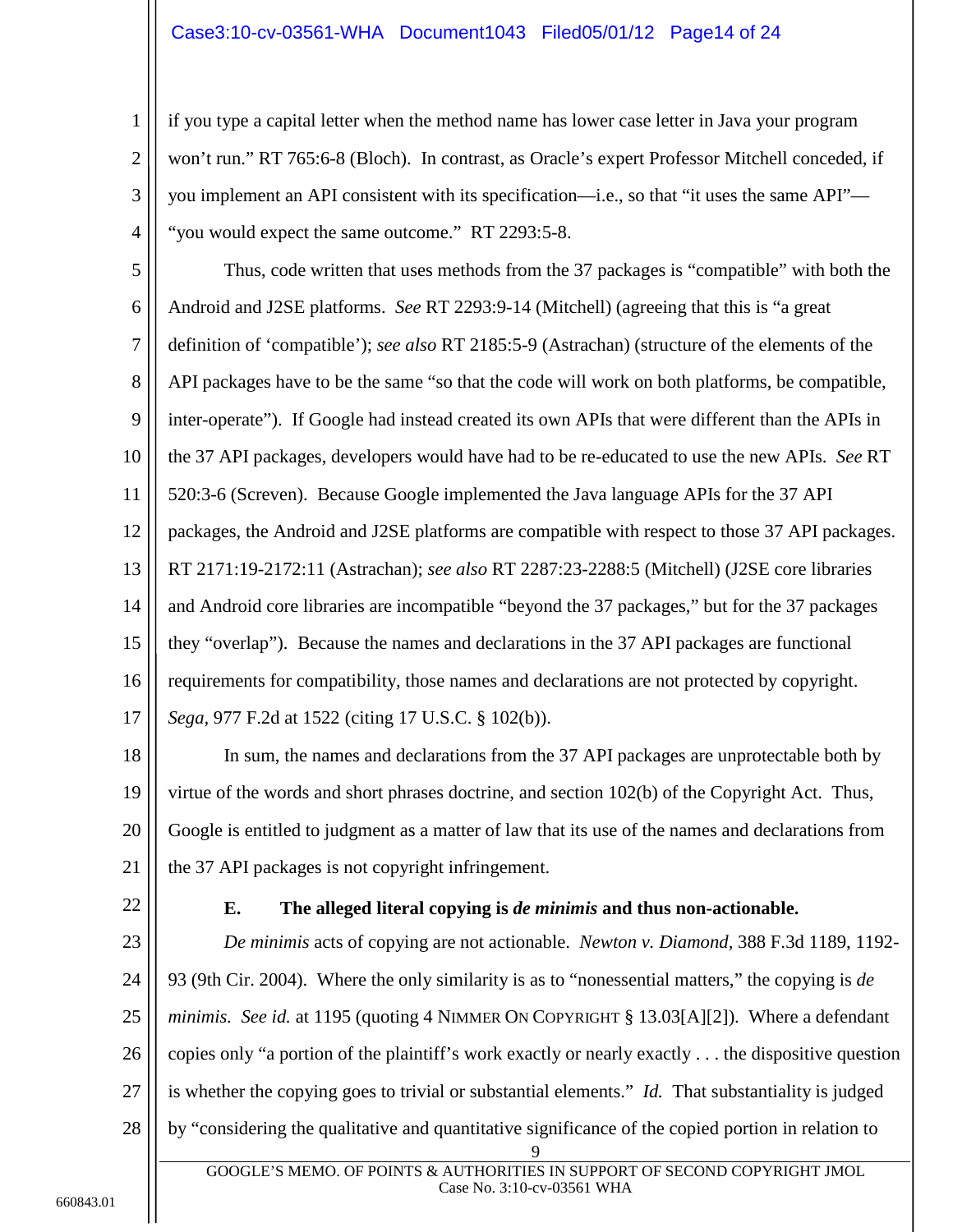## Case3:10-cv-03561-WHA Document1043 Filed05/01/12 Page14 of 24

if you type a capital letter when the method name has lower case letter in Java your program won't run." RT 765:6-8 (Bloch). In contrast, as Oracle's expert Professor Mitchell conceded, if you implement an API consistent with its specification—i.e., so that "it uses the same API"— "you would expect the same outcome." RT 2293:5-8.

5 6 7 8 9 10 11 12 13 14 15 16 17 Thus, code written that uses methods from the 37 packages is "compatible" with both the Android and J2SE platforms. *See* RT 2293:9-14 (Mitchell) (agreeing that this is "a great definition of 'compatible'); *see also* RT 2185:5-9 (Astrachan) (structure of the elements of the API packages have to be the same "so that the code will work on both platforms, be compatible, inter-operate"). If Google had instead created its own APIs that were different than the APIs in the 37 API packages, developers would have had to be re-educated to use the new APIs. *See* RT 520:3-6 (Screven). Because Google implemented the Java language APIs for the 37 API packages, the Android and J2SE platforms are compatible with respect to those 37 API packages. RT 2171:19-2172:11 (Astrachan); *see also* RT 2287:23-2288:5 (Mitchell) (J2SE core libraries and Android core libraries are incompatible "beyond the 37 packages," but for the 37 packages they "overlap"). Because the names and declarations in the 37 API packages are functional requirements for compatibility, those names and declarations are not protected by copyright. *Sega,* 977 F.2d at 1522 (citing 17 U.S.C. § 102(b)).

<span id="page-13-2"></span>18 19 20 21 In sum, the names and declarations from the 37 API packages are unprotectable both by virtue of the words and short phrases doctrine, and section 102(b) of the Copyright Act. Thus, Google is entitled to judgment as a matter of law that its use of the names and declarations from the 37 API packages is not copyright infringement.

<span id="page-13-0"></span>22

1

2

3

4

### <span id="page-13-3"></span><span id="page-13-1"></span>**E. The alleged literal copying is** *de minimis* **and thus non-actionable.**

23 24 25 26 27 28 9 *De minimis* acts of copying are not actionable. *Newton v. Diamond,* 388 F.3d 1189, 1192- 93 (9th Cir. 2004). Where the only similarity is as to "nonessential matters," the copying is *de minimis. See id.* at 1195 (quoting 4 NIMMER ON COPYRIGHT § 13.03[A][2]). Where a defendant copies only "a portion of the plaintiff's work exactly or nearly exactly . . . the dispositive question is whether the copying goes to trivial or substantial elements." *Id.* That substantiality is judged by "considering the qualitative and quantitative significance of the copied portion in relation to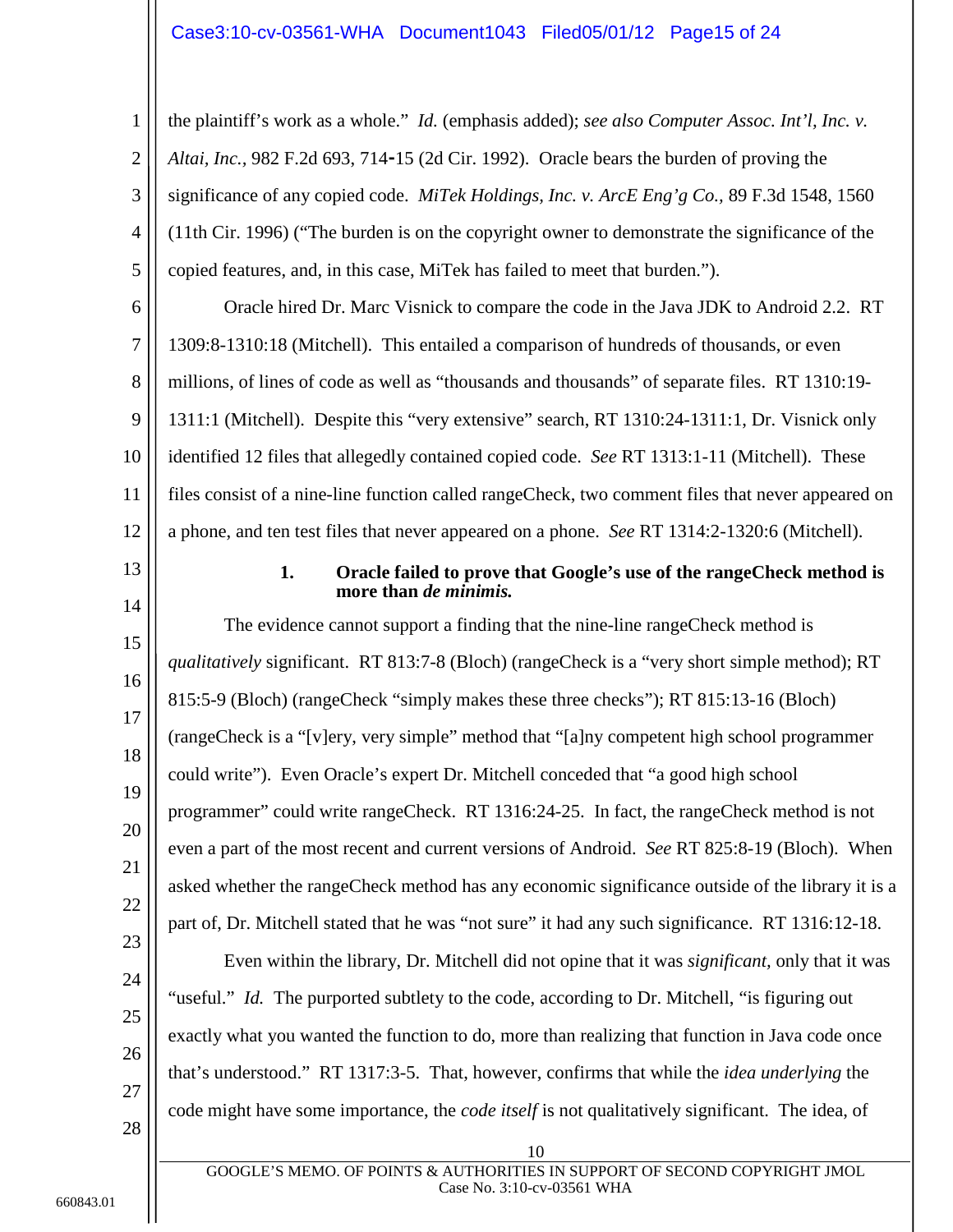## <span id="page-14-1"></span>Case3:10-cv-03561-WHA Document1043 Filed05/01/12 Page15 of 24

3 4 5 the plaintiff's work as a whole." *Id.* (emphasis added); *see also Computer Assoc. Int'l, Inc. v. Altai, Inc.,* 982 F.2d 693, 714**-**15 (2d Cir. 1992). Oracle bears the burden of proving the significance of any copied code. *MiTek Holdings, Inc. v. ArcE Eng'g Co.,* 89 F.3d 1548, 1560 (11th Cir. 1996) ("The burden is on the copyright owner to demonstrate the significance of the copied features, and, in this case, MiTek has failed to meet that burden.").

6 7 8 9 10 11 12 Oracle hired Dr. Marc Visnick to compare the code in the Java JDK to Android 2.2. RT 1309:8-1310:18 (Mitchell). This entailed a comparison of hundreds of thousands, or even millions, of lines of code as well as "thousands and thousands" of separate files. RT 1310:19- 1311:1 (Mitchell). Despite this "very extensive" search, RT 1310:24-1311:1, Dr. Visnick only identified 12 files that allegedly contained copied code. *See* RT 1313:1-11 (Mitchell). These files consist of a nine-line function called rangeCheck, two comment files that never appeared on a phone, and ten test files that never appeared on a phone. *See* RT 1314:2-1320:6 (Mitchell).

<span id="page-14-0"></span>13

14

15

16

17

18

19

20

21

22

23

24

25

26

27

28

1

<span id="page-14-2"></span>2

### **1. Oracle failed to prove that Google's use of the rangeCheck method is more than** *de minimis.*

The evidence cannot support a finding that the nine-line rangeCheck method is *qualitatively* significant. RT 813:7-8 (Bloch) (rangeCheck is a "very short simple method); RT 815:5-9 (Bloch) (rangeCheck "simply makes these three checks"); RT 815:13-16 (Bloch) (rangeCheck is a "[v]ery, very simple" method that "[a]ny competent high school programmer could write"). Even Oracle's expert Dr. Mitchell conceded that "a good high school programmer" could write rangeCheck. RT 1316:24-25. In fact, the rangeCheck method is not even a part of the most recent and current versions of Android. *See* RT 825:8-19 (Bloch). When asked whether the rangeCheck method has any economic significance outside of the library it is a part of, Dr. Mitchell stated that he was "not sure" it had any such significance. RT 1316:12-18.

Even within the library, Dr. Mitchell did not opine that it was *significant,* only that it was "useful." *Id.* The purported subtlety to the code, according to Dr. Mitchell, "is figuring out exactly what you wanted the function to do, more than realizing that function in Java code once that's understood." RT 1317:3-5. That, however, confirms that while the *idea underlying* the code might have some importance, the *code itself* is not qualitatively significant. The idea, of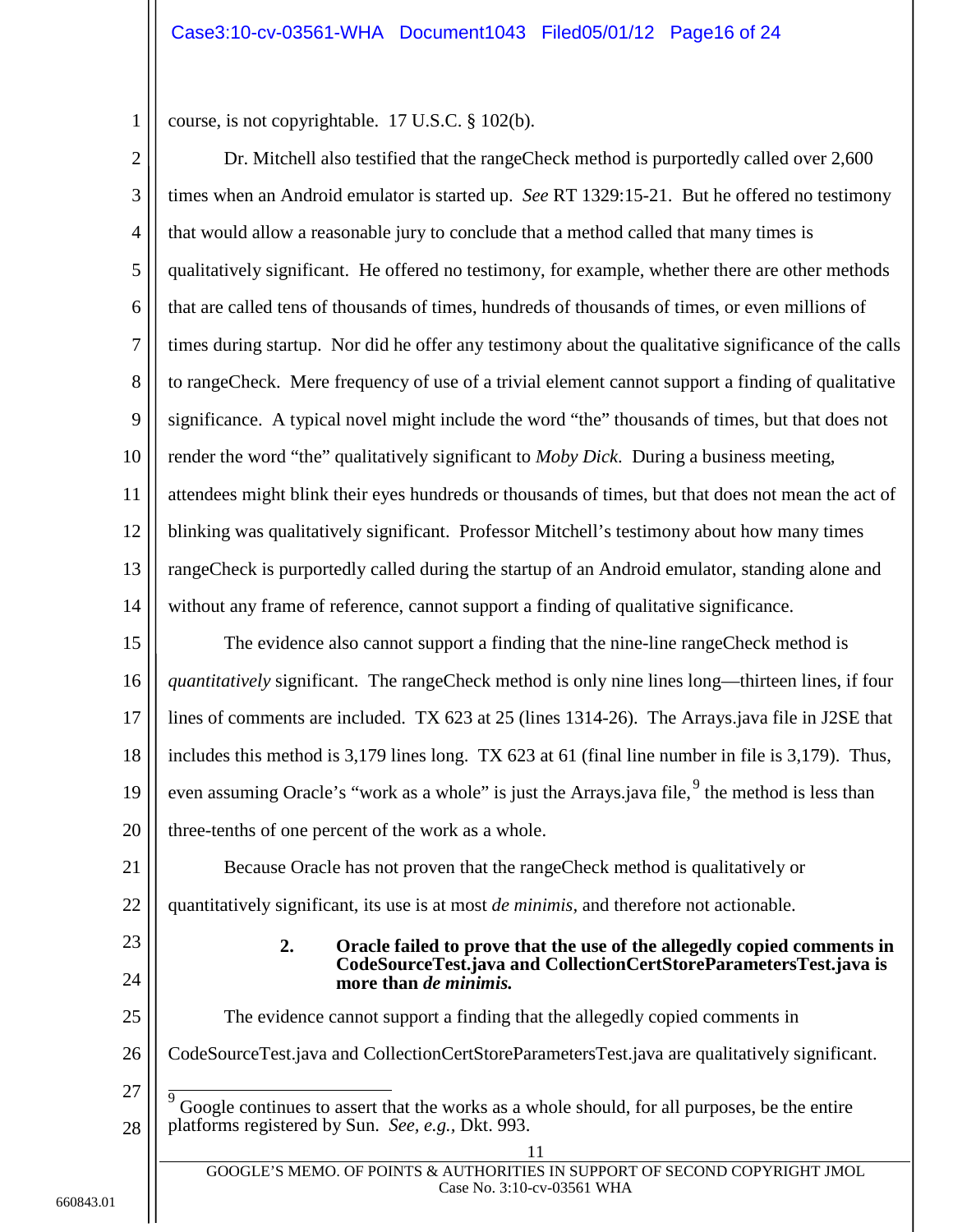<span id="page-15-1"></span>course, is not copyrightable. 17 U.S.C. § 102(b).

2

1

3 4 5 6 7 8 9 10 11 12 13 14 Dr. Mitchell also testified that the rangeCheck method is purportedly called over 2,600 times when an Android emulator is started up. *See* RT 1329:15-21. But he offered no testimony that would allow a reasonable jury to conclude that a method called that many times is qualitatively significant. He offered no testimony, for example, whether there are other methods that are called tens of thousands of times, hundreds of thousands of times, or even millions of times during startup. Nor did he offer any testimony about the qualitative significance of the calls to rangeCheck. Mere frequency of use of a trivial element cannot support a finding of qualitative significance. A typical novel might include the word "the" thousands of times, but that does not render the word "the" qualitatively significant to *Moby Dick*. During a business meeting, attendees might blink their eyes hundreds or thousands of times, but that does not mean the act of blinking was qualitatively significant. Professor Mitchell's testimony about how many times rangeCheck is purportedly called during the startup of an Android emulator, standing alone and without any frame of reference, cannot support a finding of qualitative significance.

15 16 17 18 19 20 The evidence also cannot support a finding that the nine-line rangeCheck method is *quantitatively* significant. The rangeCheck method is only nine lines long—thirteen lines, if four lines of comments are included. TX 623 at 25 (lines 1314-26). The Arrays.java file in J2SE that includes this method is 3,179 lines long. TX 623 at 61 (final line number in file is 3,179). Thus, even assuming Oracle's "work as a whole" is just the Arrays.java file,  $9$  the method is less than three-tenths of one percent of the work as a whole.

21 22 Because Oracle has not proven that the rangeCheck method is qualitatively or quantitatively significant, its use is at most *de minimis,* and therefore not actionable.

<span id="page-15-0"></span>23

24

### **2. Oracle failed to prove that the use of the allegedly copied comments in CodeSourceTest.java and CollectionCertStoreParametersTest.java is more than** *de minimis.*

25 26 27 The evidence cannot support a finding that the allegedly copied comments in CodeSourceTest.java and CollectionCertStoreParametersTest.java are qualitatively significant.

<span id="page-15-2"></span>28 Google continues to assert that the works as a whole should, for all purposes, be the entire platforms registered by Sun. *See, e.g.,* Dkt. 993.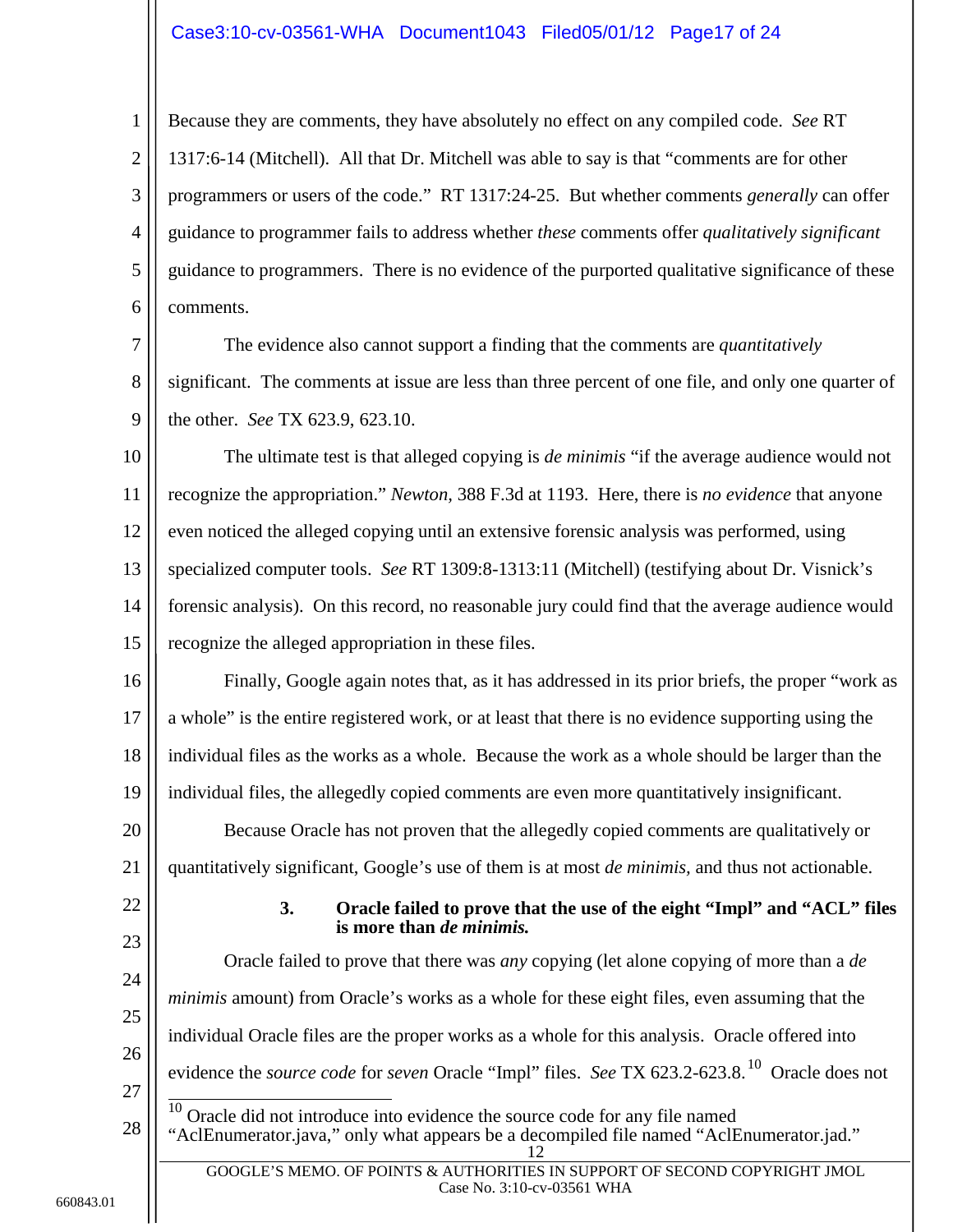## Case3:10-cv-03561-WHA Document1043 Filed05/01/12 Page17 of 24

2 3 4 5 6 Because they are comments, they have absolutely no effect on any compiled code. *See* RT 1317:6-14 (Mitchell). All that Dr. Mitchell was able to say is that "comments are for other programmers or users of the code." RT 1317:24-25. But whether comments *generally* can offer guidance to programmer fails to address whether *these* comments offer *qualitatively significant*  guidance to programmers. There is no evidence of the purported qualitative significance of these comments.

7 8 9 The evidence also cannot support a finding that the comments are *quantitatively* significant. The comments at issue are less than three percent of one file, and only one quarter of the other. *See* TX 623.9, 623.10.

<span id="page-16-1"></span>10 11 12 13 14 15 The ultimate test is that alleged copying is *de minimis* "if the average audience would not recognize the appropriation." *Newton,* 388 F.3d at 1193. Here, there is *no evidence* that anyone even noticed the alleged copying until an extensive forensic analysis was performed, using specialized computer tools. *See* RT 1309:8-1313:11 (Mitchell) (testifying about Dr. Visnick's forensic analysis). On this record, no reasonable jury could find that the average audience would recognize the alleged appropriation in these files.

16 17 18 19 Finally, Google again notes that, as it has addressed in its prior briefs, the proper "work as a whole" is the entire registered work, or at least that there is no evidence supporting using the individual files as the works as a whole. Because the work as a whole should be larger than the individual files, the allegedly copied comments are even more quantitatively insignificant.

20 21 Because Oracle has not proven that the allegedly copied comments are qualitatively or quantitatively significant, Google's use of them is at most *de minimis,* and thus not actionable.

# <span id="page-16-0"></span>22

1

### **3. Oracle failed to prove that the use of the eight "Impl" and "ACL" files is more than** *de minimis.*

<span id="page-16-2"></span>23 24 25 26 27 28 Oracle failed to prove that there was *any* copying (let alone copying of more than a *de minimis* amount) from Oracle's works as a whole for these eight files, even assuming that the individual Oracle files are the proper works as a whole for this analysis. Oracle offered into evidence the *source code* for *seven* Oracle "Impl" files. *See* TX 623.2-623.8. [10](#page-16-2) Oracle does not 10 Oracle did not introduce into evidence the source code for any file named "AclEnumerator.java," only what appears be a decompiled file named "AclEnumerator.jad."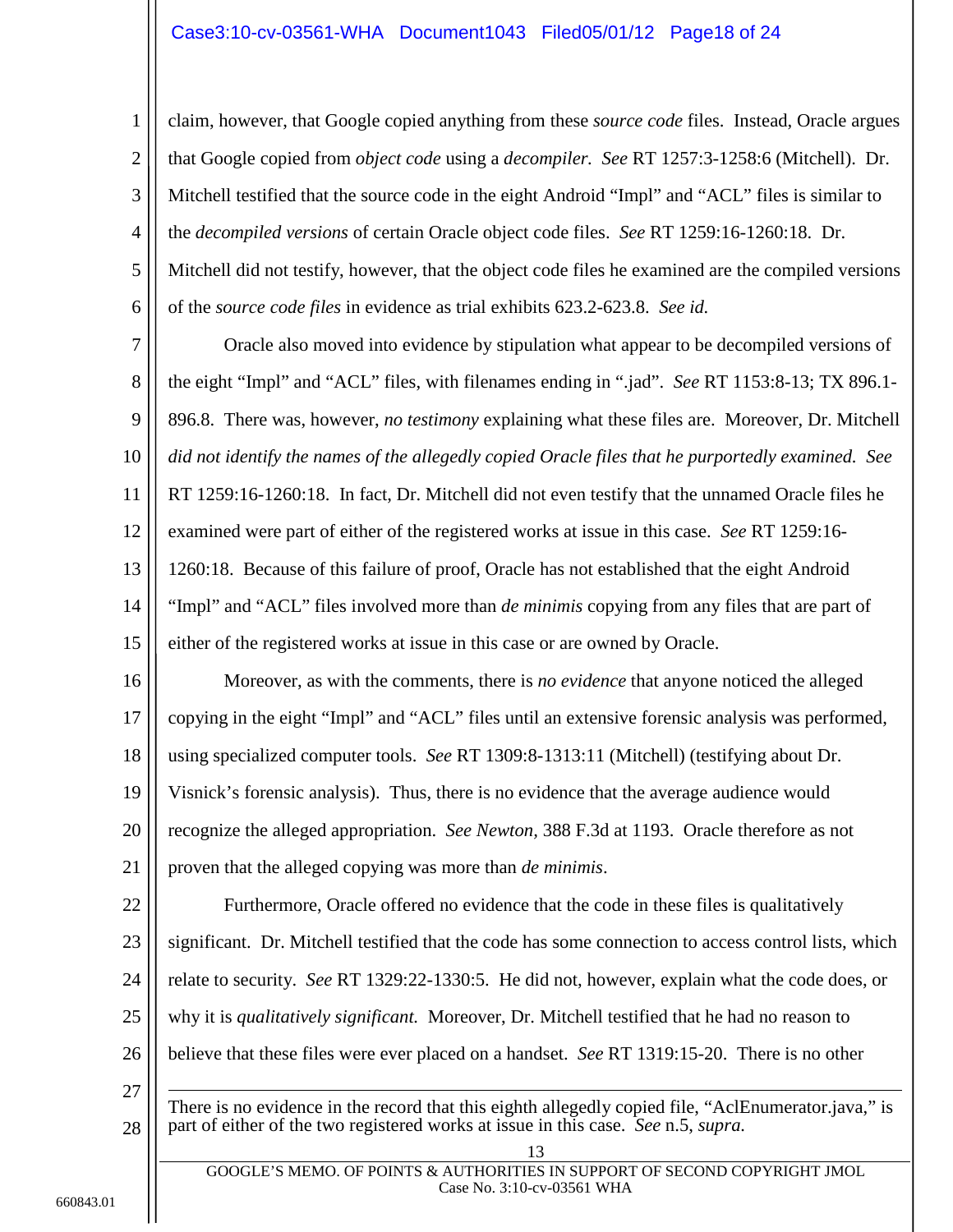## Case3:10-cv-03561-WHA Document1043 Filed05/01/12 Page18 of 24

2 3 4 5 6 claim, however, that Google copied anything from these *source code* files. Instead, Oracle argues that Google copied from *object code* using a *decompiler. See* RT 1257:3-1258:6 (Mitchell). Dr. Mitchell testified that the source code in the eight Android "Impl" and "ACL" files is similar to the *decompiled versions* of certain Oracle object code files. *See* RT 1259:16-1260:18. Dr. Mitchell did not testify, however, that the object code files he examined are the compiled versions of the *source code files* in evidence as trial exhibits 623.2-623.8. *See id.* 

7 8 9 10 11 12 13 14 15 Oracle also moved into evidence by stipulation what appear to be decompiled versions of the eight "Impl" and "ACL" files, with filenames ending in ".jad". *See* RT 1153:8-13; TX 896.1- 896.8. There was, however, *no testimony* explaining what these files are. Moreover, Dr. Mitchell *did not identify the names of the allegedly copied Oracle files that he purportedly examined. See*  RT 1259:16-1260:18. In fact, Dr. Mitchell did not even testify that the unnamed Oracle files he examined were part of either of the registered works at issue in this case. *See* RT 1259:16- 1260:18. Because of this failure of proof, Oracle has not established that the eight Android "Impl" and "ACL" files involved more than *de minimis* copying from any files that are part of either of the registered works at issue in this case or are owned by Oracle.

16 17 18 19 20 21 Moreover, as with the comments, there is *no evidence* that anyone noticed the alleged copying in the eight "Impl" and "ACL" files until an extensive forensic analysis was performed, using specialized computer tools. *See* RT 1309:8-1313:11 (Mitchell) (testifying about Dr. Visnick's forensic analysis). Thus, there is no evidence that the average audience would recognize the alleged appropriation. *See Newton,* 388 F.3d at 1193. Oracle therefore as not proven that the alleged copying was more than *de minimis*.

<span id="page-17-0"></span>22 23 24 25 26 27 Furthermore, Oracle offered no evidence that the code in these files is qualitatively significant. Dr. Mitchell testified that the code has some connection to access control lists, which relate to security. *See* RT 1329:22-1330:5. He did not, however, explain what the code does, or why it is *qualitatively significant.* Moreover, Dr. Mitchell testified that he had no reason to believe that these files were ever placed on a handset. *See* RT 1319:15-20. There is no other  $\overline{a}$ 

28 There is no evidence in the record that this eighth allegedly copied file, "AclEnumerator.java," is part of either of the two registered works at issue in this case. *See* n.5, *supra.*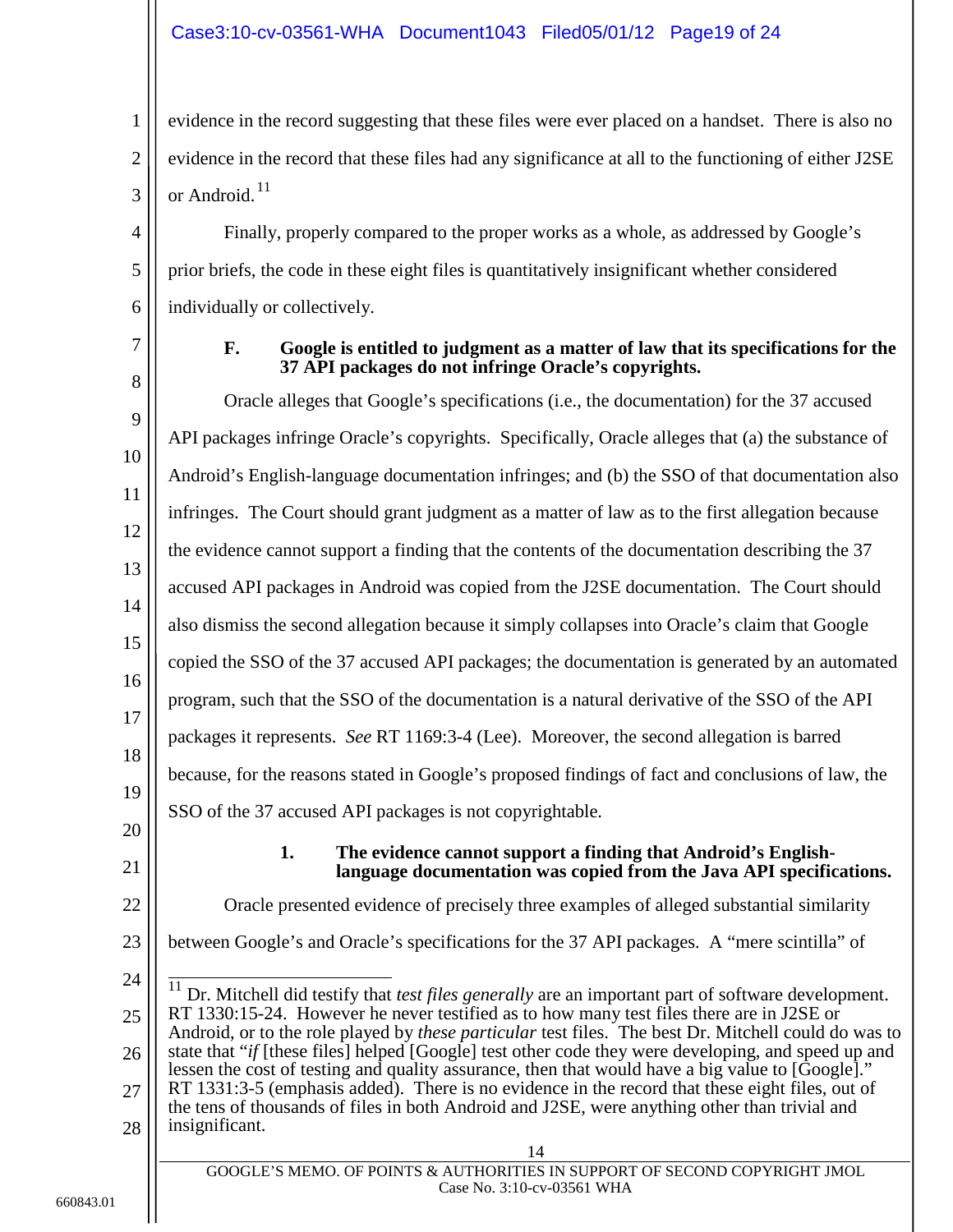## Case3:10-cv-03561-WHA Document1043 Filed05/01/12 Page19 of 24

evidence in the record suggesting that these files were ever placed on a handset. There is also no evidence in the record that these files had any significance at all to the functioning of either J2SE or Android.<sup>[11](#page-18-2)</sup>

Finally, properly compared to the proper works as a whole, as addressed by Google's prior briefs, the code in these eight files is quantitatively insignificant whether considered individually or collectively.

<span id="page-18-0"></span>7

1

2

3

4

5

6

### **F. Google is entitled to judgment as a matter of law that its specifications for the 37 API packages do not infringe Oracle's copyrights.**

8 9 10 11 12 13 14 15 16 17 18 19 20 Oracle alleges that Google's specifications (i.e., the documentation) for the 37 accused API packages infringe Oracle's copyrights. Specifically, Oracle alleges that (a) the substance of Android's English-language documentation infringes; and (b) the SSO of that documentation also infringes. The Court should grant judgment as a matter of law as to the first allegation because the evidence cannot support a finding that the contents of the documentation describing the 37 accused API packages in Android was copied from the J2SE documentation. The Court should also dismiss the second allegation because it simply collapses into Oracle's claim that Google copied the SSO of the 37 accused API packages; the documentation is generated by an automated program, such that the SSO of the documentation is a natural derivative of the SSO of the API packages it represents. *See* RT 1169:3-4 (Lee). Moreover, the second allegation is barred because, for the reasons stated in Google's proposed findings of fact and conclusions of law, the SSO of the 37 accused API packages is not copyrightable.

<span id="page-18-1"></span>21

### **1. The evidence cannot support a finding that Android's Englishlanguage documentation was copied from the Java API specifications.**

22

Oracle presented evidence of precisely three examples of alleged substantial similarity

- 23 between Google's and Oracle's specifications for the 37 API packages. A "mere scintilla" of
- <span id="page-18-2"></span>24 25 26 27 <sup>11</sup> Dr. Mitchell did testify that *test files generally* are an important part of software development. RT 1330:15-24. However he never testified as to how many test files there are in J2SE or Android, or to the role played by *these particular* test files. The best Dr. Mitchell could do was to state that "*if* [these files] helped [Google] test other code they were developing, and speed up and lessen the cost of testing and quality assurance, then that would have a big value to [Google]." RT 1331:3-5 (emphasis added). There is no evidence in the record that these eight files, out of
- 28 the tens of thousands of files in both Android and J2SE, were anything other than trivial and insignificant.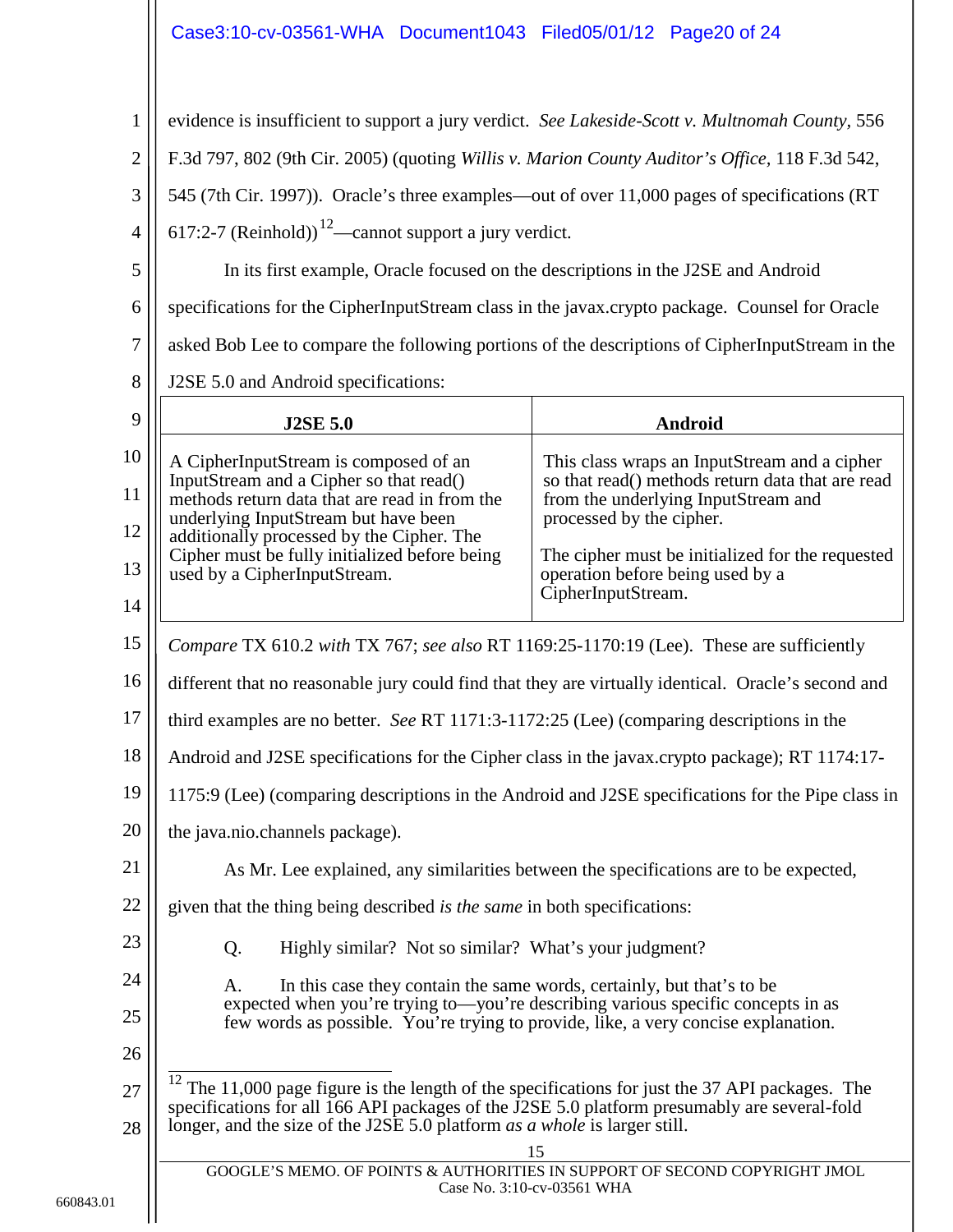# <span id="page-19-1"></span><span id="page-19-0"></span>Case3:10-cv-03561-WHA Document1043 Filed05/01/12 Page20 of 24

<span id="page-19-2"></span>

| 1                | evidence is insufficient to support a jury verdict. See Lakeside-Scott v. Multnomah County, 556                |                                                                                                   |  |
|------------------|----------------------------------------------------------------------------------------------------------------|---------------------------------------------------------------------------------------------------|--|
| $\overline{2}$   | F.3d 797, 802 (9th Cir. 2005) (quoting Willis v. Marion County Auditor's Office, 118 F.3d 542,                 |                                                                                                   |  |
| 3                | 545 (7th Cir. 1997)). Oracle's three examples—out of over 11,000 pages of specifications (RT                   |                                                                                                   |  |
| $\overline{4}$   | 617:2-7 (Reinhold)) <sup>12</sup> —cannot support a jury verdict.                                              |                                                                                                   |  |
| 5                | In its first example, Oracle focused on the descriptions in the J2SE and Android                               |                                                                                                   |  |
| 6                | specifications for the CipherInputStream class in the javax.crypto package. Counsel for Oracle                 |                                                                                                   |  |
| $\boldsymbol{7}$ | asked Bob Lee to compare the following portions of the descriptions of CipherInputStream in the                |                                                                                                   |  |
| 8                | J2SE 5.0 and Android specifications:                                                                           |                                                                                                   |  |
| 9                | <b>J2SE 5.0</b>                                                                                                | <b>Android</b>                                                                                    |  |
| 10               | A CipherInputStream is composed of an                                                                          | This class wraps an InputStream and a cipher                                                      |  |
| 11               | InputStream and a Cipher so that read()<br>methods return data that are read in from the                       | so that read() methods return data that are read<br>from the underlying InputStream and           |  |
| 12               | underlying InputStream but have been<br>additionally processed by the Cipher. The                              | processed by the cipher.                                                                          |  |
| 13               | Cipher must be fully initialized before being<br>used by a CipherInputStream.                                  | The cipher must be initialized for the requested<br>operation before being used by a              |  |
| 14               |                                                                                                                | CipherInputStream.                                                                                |  |
| 15               | Compare TX 610.2 with TX 767; see also RT 1169:25-1170:19 (Lee). These are sufficiently                        |                                                                                                   |  |
| 16               | different that no reasonable jury could find that they are virtually identical. Oracle's second and            |                                                                                                   |  |
| 17               | third examples are no better. See RT 1171:3-1172:25 (Lee) (comparing descriptions in the                       |                                                                                                   |  |
| 18               | Android and J2SE specifications for the Cipher class in the javax.crypto package); RT 1174:17-                 |                                                                                                   |  |
| 19               |                                                                                                                | 1175:9 (Lee) (comparing descriptions in the Android and J2SE specifications for the Pipe class in |  |
| 20               | the java.nio.channels package).                                                                                |                                                                                                   |  |
| 21               |                                                                                                                | As Mr. Lee explained, any similarities between the specifications are to be expected,             |  |
| 22               | given that the thing being described is the same in both specifications:                                       |                                                                                                   |  |
| 23               | Highly similar? Not so similar? What's your judgment?<br>Q.                                                    |                                                                                                   |  |
| 24               | In this case they contain the same words, certainly, but that's to be<br>А.                                    |                                                                                                   |  |
| 25               | few words as possible. You're trying to provide, like, a very concise explanation.                             | expected when you're trying to—you're describing various specific concepts in as                  |  |
| 26               |                                                                                                                |                                                                                                   |  |
| 27               | specifications for all 166 API packages of the J2SE 5.0 platform presumably are several-fold                   | The 11,000 page figure is the length of the specifications for just the 37 API packages. The      |  |
| 28               | longer, and the size of the J2SE 5.0 platform as a whole is larger still.                                      |                                                                                                   |  |
|                  | 15<br>GOOGLE'S MEMO. OF POINTS & AUTHORITIES IN SUPPORT OF SECOND COPYRIGHT JMOL<br>Case No. 3:10-cv-03561 WHA |                                                                                                   |  |
|                  |                                                                                                                |                                                                                                   |  |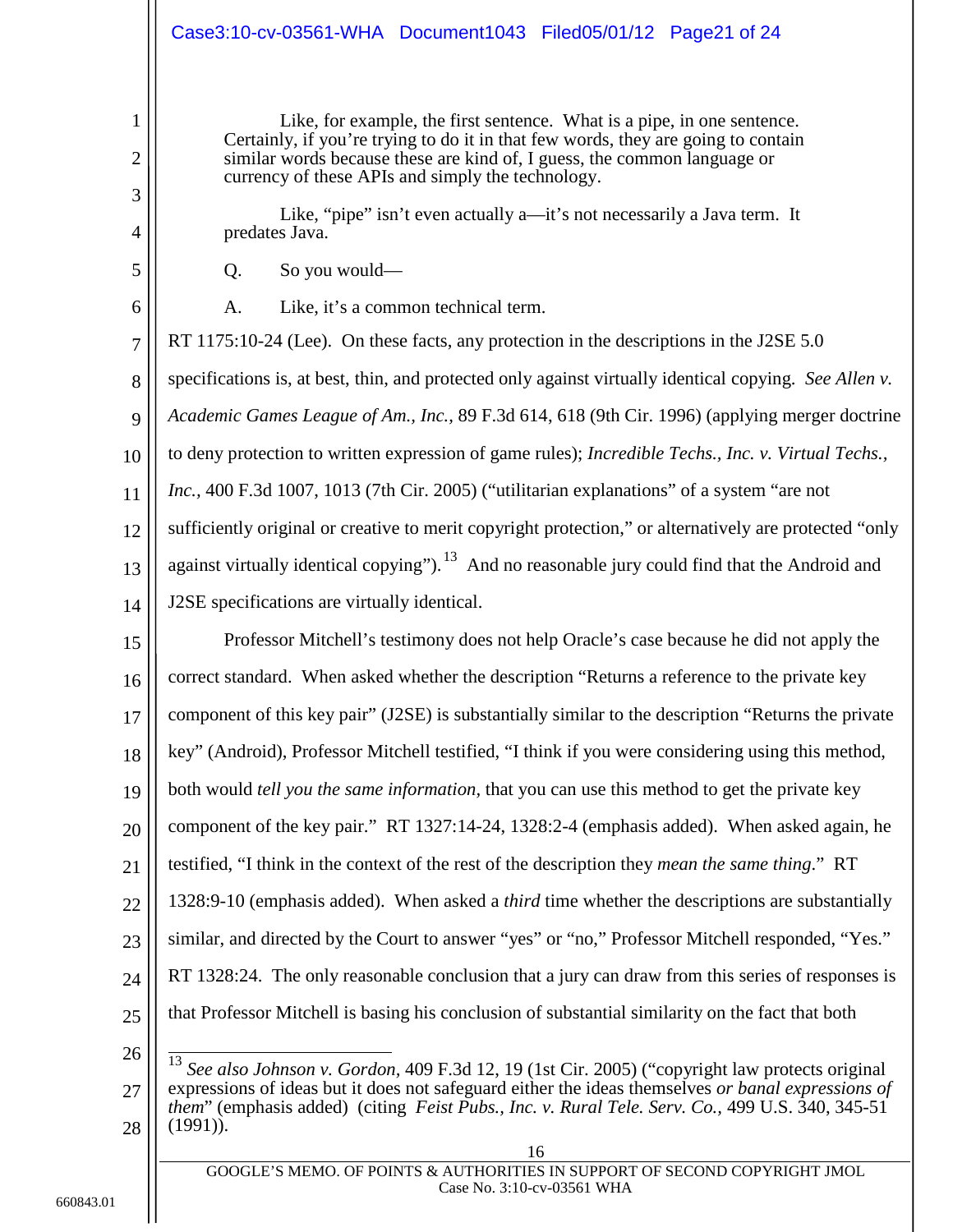## Case3:10-cv-03561-WHA Document1043 Filed05/01/12 Page21 of 24

Like, for example, the first sentence. What is a pipe, in one sentence. Certainly, if you're trying to do it in that few words, they are going to contain similar words because these are kind of, I guess, the common language or currency of these APIs and simply the technology.

Like, "pipe" isn't even actually a—it's not necessarily a Java term. It predates Java.

Q. So you would—

1

2

3

4

5

6

<span id="page-20-2"></span><span id="page-20-0"></span>A. Like, it's a common technical term.

7 8 9 10 11 12 13 14 RT 1175:10-24 (Lee). On these facts, any protection in the descriptions in the J2SE 5.0 specifications is, at best, thin, and protected only against virtually identical copying. *See Allen v. Academic Games League of Am., Inc.,* 89 F.3d 614, 618 (9th Cir. 1996) (applying merger doctrine to deny protection to written expression of game rules); *Incredible Techs., Inc. v. Virtual Techs., Inc.,* 400 F.3d 1007, 1013 (7th Cir. 2005) ("utilitarian explanations" of a system "are not sufficiently original or creative to merit copyright protection," or alternatively are protected "only against virtually identical copying").<sup>[13](#page-20-4)</sup> And no reasonable jury could find that the Android and J2SE specifications are virtually identical.

15 16 17 18 19 20 21 22 23 24 25 26 Professor Mitchell's testimony does not help Oracle's case because he did not apply the correct standard. When asked whether the description "Returns a reference to the private key component of this key pair" (J2SE) is substantially similar to the description "Returns the private key" (Android), Professor Mitchell testified, "I think if you were considering using this method, both would *tell you the same information,* that you can use this method to get the private key component of the key pair." RT 1327:14-24, 1328:2-4 (emphasis added). When asked again, he testified, "I think in the context of the rest of the description they *mean the same thing*." RT 1328:9-10 (emphasis added). When asked a *third* time whether the descriptions are substantially similar, and directed by the Court to answer "yes" or "no," Professor Mitchell responded, "Yes." RT 1328:24. The only reasonable conclusion that a jury can draw from this series of responses is that Professor Mitchell is basing his conclusion of substantial similarity on the fact that both

<span id="page-20-4"></span><span id="page-20-3"></span><span id="page-20-1"></span><sup>27</sup> 28 13 *See also Johnson v. Gordon,* 409 F.3d 12, 19 (1st Cir. 2005) ("copyright law protects original expressions of ideas but it does not safeguard either the ideas themselves *or banal expressions of them*" (emphasis added) (citing *Feist Pubs., Inc. v. Rural Tele. Serv. Co.,* 499 U.S. 340, 345-51 (1991)).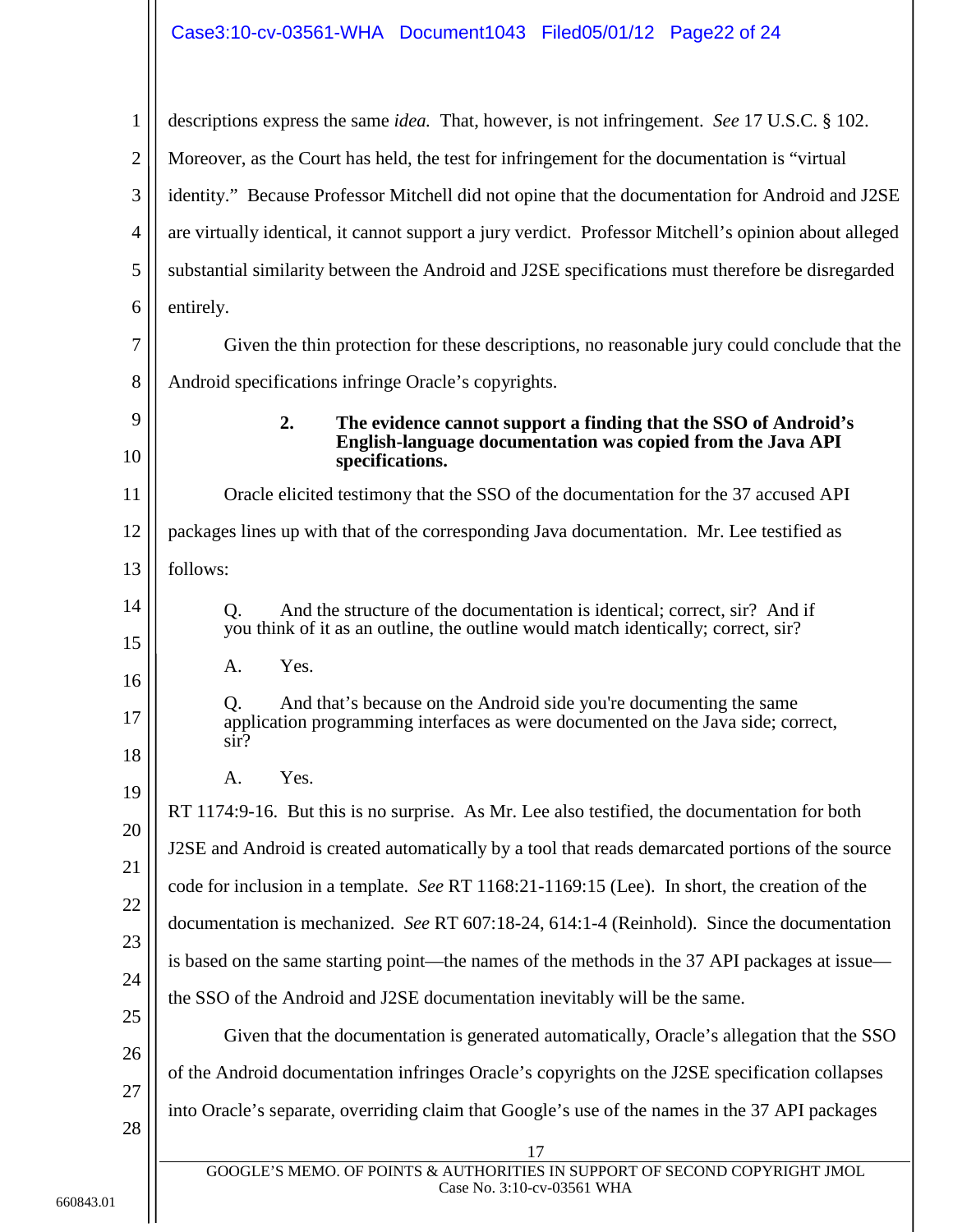<span id="page-21-1"></span><span id="page-21-0"></span>1 2 3 4 5 6 7 8 9 10 11 12 13 14 15 16 17 18 19 20 21 22 23 24 25 26 27 28 17 GOOGLE'S MEMO. OF POINTS & AUTHORITIES IN SUPPORT OF SECOND COPYRIGHT JMOL descriptions express the same *idea.* That, however, is not infringement. *See* 17 U.S.C. § 102. Moreover, as the Court has held, the test for infringement for the documentation is "virtual identity." Because Professor Mitchell did not opine that the documentation for Android and J2SE are virtually identical, it cannot support a jury verdict. Professor Mitchell's opinion about alleged substantial similarity between the Android and J2SE specifications must therefore be disregarded entirely. Given the thin protection for these descriptions, no reasonable jury could conclude that the Android specifications infringe Oracle's copyrights. **2. The evidence cannot support a finding that the SSO of Android's English-language documentation was copied from the Java API specifications.** Oracle elicited testimony that the SSO of the documentation for the 37 accused API packages lines up with that of the corresponding Java documentation. Mr. Lee testified as follows: Q. And the structure of the documentation is identical; correct, sir? And if you think of it as an outline, the outline would match identically; correct, sir? A. Yes. Q. And that's because on the Android side you're documenting the same application programming interfaces as were documented on the Java side; correct, sir? A. Yes. RT 1174:9-16. But this is no surprise. As Mr. Lee also testified, the documentation for both J2SE and Android is created automatically by a tool that reads demarcated portions of the source code for inclusion in a template. *See* RT 1168:21-1169:15 (Lee). In short, the creation of the documentation is mechanized. *See* RT 607:18-24, 614:1-4 (Reinhold). Since the documentation is based on the same starting point—the names of the methods in the 37 API packages at issue the SSO of the Android and J2SE documentation inevitably will be the same. Given that the documentation is generated automatically, Oracle's allegation that the SSO of the Android documentation infringes Oracle's copyrights on the J2SE specification collapses into Oracle's separate, overriding claim that Google's use of the names in the 37 API packages

Case No. 3:10-cv-03561 WHA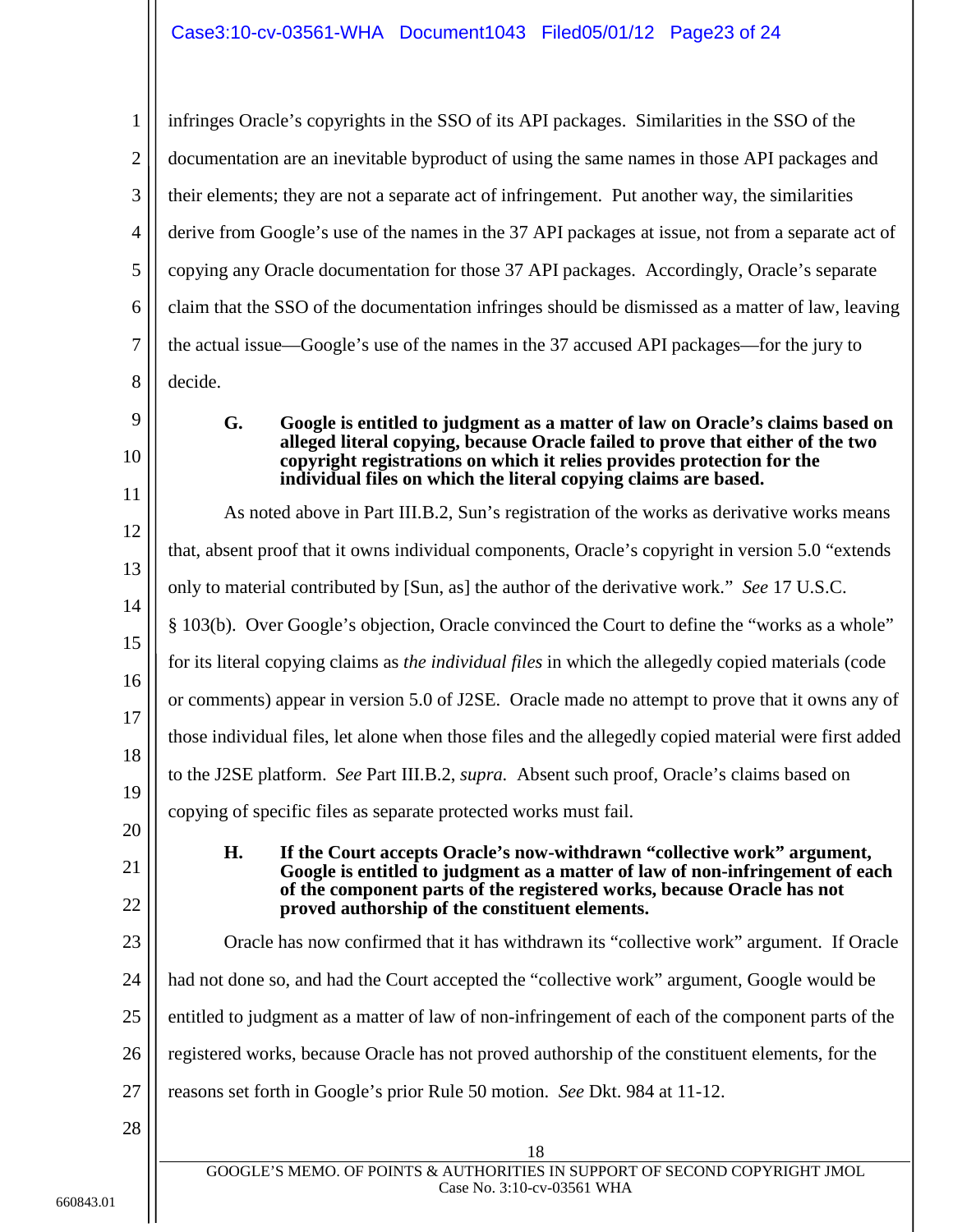1 2 3 4 5 6 7 8 9 infringes Oracle's copyrights in the SSO of its API packages. Similarities in the SSO of the documentation are an inevitable byproduct of using the same names in those API packages and their elements; they are not a separate act of infringement. Put another way, the similarities derive from Google's use of the names in the 37 API packages at issue, not from a separate act of copying any Oracle documentation for those 37 API packages. Accordingly, Oracle's separate claim that the SSO of the documentation infringes should be dismissed as a matter of law, leaving the actual issue—Google's use of the names in the 37 accused API packages—for the jury to decide. **G. Google is entitled to judgment as a matter of law on Oracle's claims based on** 

## <span id="page-22-0"></span>10

11

<span id="page-22-2"></span>**alleged literal copying, because Oracle failed to prove that either of the two copyright registrations on which it relies provides protection for the individual files on which the literal copying claims are based.**

<span id="page-22-1"></span>12 13 14 15 16 17 18 19 20 21 22 23 24 25 26 27 28 18 GOOGLE'S MEMO. OF POINTS & AUTHORITIES IN SUPPORT OF SECOND COPYRIGHT JMOL As noted above in Part III.B.2, Sun's registration of the works as derivative works means that, absent proof that it owns individual components, Oracle's copyright in version 5.0 "extends only to material contributed by [Sun, as] the author of the derivative work." *See* 17 U.S.C. § 103(b). Over Google's objection, Oracle convinced the Court to define the "works as a whole" for its literal copying claims as *the individual files* in which the allegedly copied materials (code or comments) appear in version 5.0 of J2SE. Oracle made no attempt to prove that it owns any of those individual files, let alone when those files and the allegedly copied material were first added to the J2SE platform. *See* Part III.B.2, *supra.* Absent such proof, Oracle's claims based on copying of specific files as separate protected works must fail. **H. If the Court accepts Oracle's now-withdrawn "collective work" argument, Google is entitled to judgment as a matter of law of non-infringement of each of the component parts of the registered works, because Oracle has not proved authorship of the constituent elements.** Oracle has now confirmed that it has withdrawn its "collective work" argument. If Oracle had not done so, and had the Court accepted the "collective work" argument, Google would be entitled to judgment as a matter of law of non-infringement of each of the component parts of the registered works, because Oracle has not proved authorship of the constituent elements, for the reasons set forth in Google's prior Rule 50 motion. *See* Dkt. 984 at 11-12.

<span id="page-22-3"></span>Case No. 3:10-cv-03561 WHA